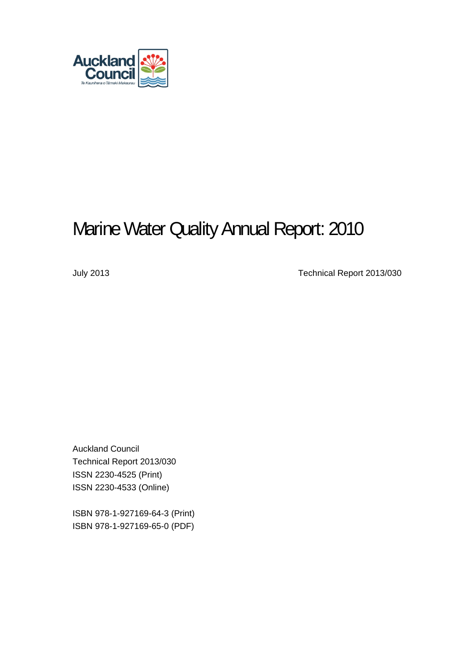

# Marine Water Quality Annual Report: 2010

July 2013 Technical Report 2013/030

Auckland Council Technical Report 2013/030 ISSN 2230-4525 (Print) ISSN 2230-4533 (Online)

ISBN 978-1-927169-64-3 (Print) ISBN 978-1-927169-65-0 (PDF)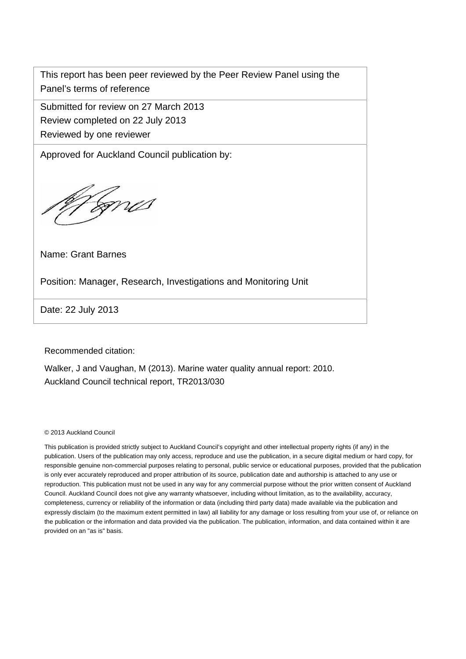This report has been peer reviewed by the Peer Review Panel using the Panel's terms of reference

Submitted for review on 27 March 2013

Review completed on 22 July 2013

Reviewed by one reviewer

Approved for Auckland Council publication by:

ma

Name: Grant Barnes

Position: Manager, Research, Investigations and Monitoring Unit

Date: 22 July 2013

Recommended citation:

Walker, J and Vaughan, M (2013). Marine water quality annual report: 2010. Auckland Council technical report, TR2013/030

© 2013 Auckland Council

This publication is provided strictly subject to Auckland Council's copyright and other intellectual property rights (if any) in the publication. Users of the publication may only access, reproduce and use the publication, in a secure digital medium or hard copy, for responsible genuine non-commercial purposes relating to personal, public service or educational purposes, provided that the publication is only ever accurately reproduced and proper attribution of its source, publication date and authorship is attached to any use or reproduction. This publication must not be used in any way for any commercial purpose without the prior written consent of Auckland Council. Auckland Council does not give any warranty whatsoever, including without limitation, as to the availability, accuracy, completeness, currency or reliability of the information or data (including third party data) made available via the publication and expressly disclaim (to the maximum extent permitted in law) all liability for any damage or loss resulting from your use of, or reliance on the publication or the information and data provided via the publication. The publication, information, and data contained within it are provided on an "as is" basis.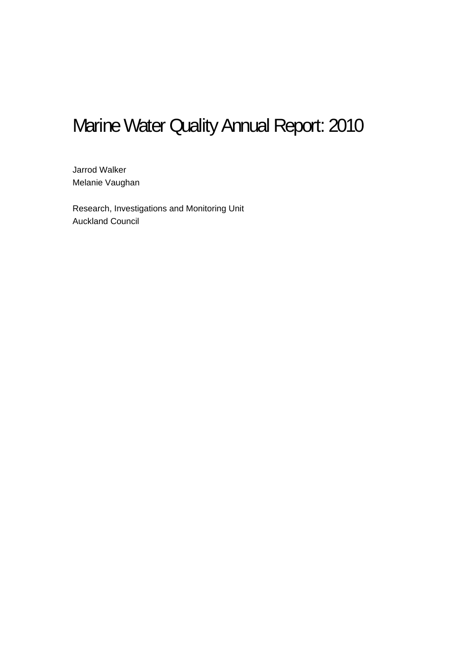# Marine Water Quality Annual Report: 2010

 Jarrod Walker Melanie Vaughan

Research, Investigations and Monitoring Unit Auckland Council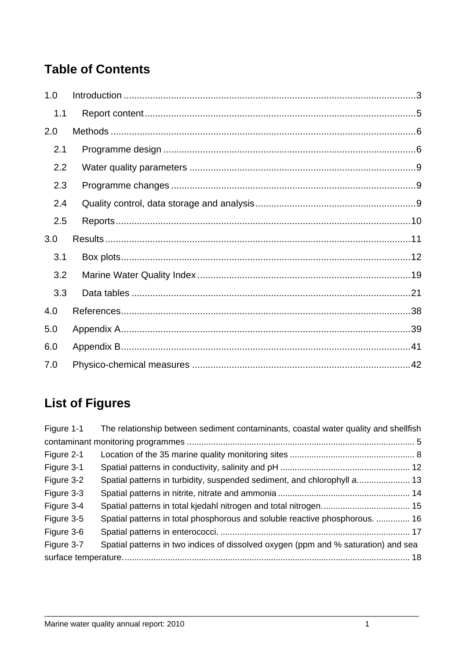## **Table of Contents**

| 1.0 |  |
|-----|--|
| 1.1 |  |
| 2.0 |  |
| 2.1 |  |
| 2.2 |  |
| 2.3 |  |
| 2.4 |  |
| 2.5 |  |
| 3.0 |  |
| 3.1 |  |
| 3.2 |  |
| 3.3 |  |
| 4.0 |  |
| 5.0 |  |
| 6.0 |  |
| 7.0 |  |

## **List of Figures**

| Figure 1-1 | The relationship between sediment contaminants, coastal water quality and shellfish |
|------------|-------------------------------------------------------------------------------------|
|            |                                                                                     |
| Figure 2-1 |                                                                                     |
| Figure 3-1 |                                                                                     |
| Figure 3-2 |                                                                                     |
| Figure 3-3 |                                                                                     |
| Figure 3-4 |                                                                                     |
| Figure 3-5 | Spatial patterns in total phosphorous and soluble reactive phosphorous.  16         |
| Figure 3-6 |                                                                                     |
| Figure 3-7 | Spatial patterns in two indices of dissolved oxygen (ppm and % saturation) and sea  |
|            |                                                                                     |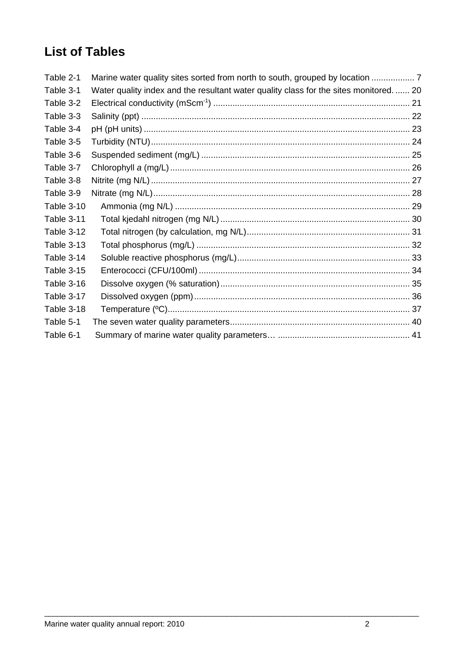## **List of Tables**

| Table 2-1         | Marine water quality sites sorted from north to south, grouped by location           |
|-------------------|--------------------------------------------------------------------------------------|
| Table 3-1         | Water quality index and the resultant water quality class for the sites monitored 20 |
| Table 3-2         |                                                                                      |
| Table 3-3         |                                                                                      |
| Table 3-4         |                                                                                      |
| Table 3-5         |                                                                                      |
| Table 3-6         |                                                                                      |
| Table 3-7         |                                                                                      |
| Table 3-8         |                                                                                      |
| Table 3-9         |                                                                                      |
| Table 3-10        |                                                                                      |
| Table 3-11        |                                                                                      |
| Table 3-12        |                                                                                      |
| <b>Table 3-13</b> |                                                                                      |
| Table 3-14        |                                                                                      |
| <b>Table 3-15</b> |                                                                                      |
| Table 3-16        |                                                                                      |
| Table 3-17        |                                                                                      |
| Table 3-18        |                                                                                      |
| Table 5-1         |                                                                                      |
| Table 6-1         |                                                                                      |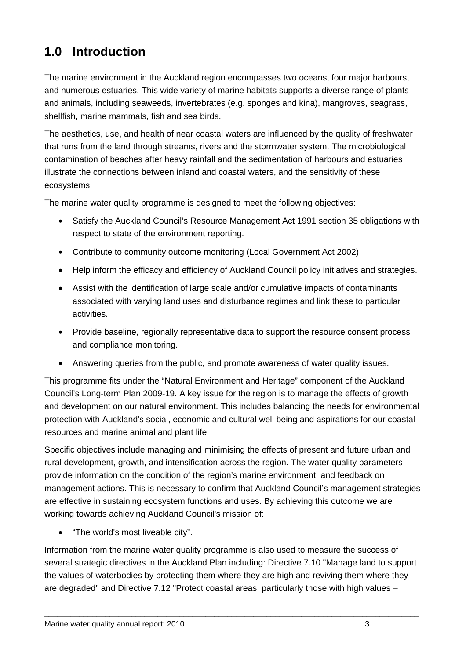## <span id="page-5-0"></span>**1.0 Introduction**

The marine environment in the Auckland region encompasses two oceans, four major harbours, and numerous estuaries. This wide variety of marine habitats supports a diverse range of plants and animals, including seaweeds, invertebrates (e.g. sponges and kina), mangroves, seagrass, shellfish, marine mammals, fish and sea birds.

The aesthetics, use, and health of near coastal waters are influenced by the quality of freshwater that runs from the land through streams, rivers and the stormwater system. The microbiological contamination of beaches after heavy rainfall and the sedimentation of harbours and estuaries illustrate the connections between inland and coastal waters, and the sensitivity of these ecosystems.

The marine water quality programme is designed to meet the following objectives:

- Satisfy the Auckland Council's Resource Management Act 1991 section 35 obligations with respect to state of the environment reporting.
- Contribute to community outcome monitoring (Local Government Act 2002).
- Help inform the efficacy and efficiency of Auckland Council policy initiatives and strategies.
- Assist with the identification of large scale and/or cumulative impacts of contaminants associated with varying land uses and disturbance regimes and link these to particular activities.
- Provide baseline, regionally representative data to support the resource consent process and compliance monitoring.
- Answering queries from the public, and promote awareness of water quality issues.

This programme fits under the "Natural Environment and Heritage" component of the Auckland Council's Long-term Plan 2009-19. A key issue for the region is to manage the effects of growth and development on our natural environment. This includes balancing the needs for environmental protection with Auckland's social, economic and cultural well being and aspirations for our coastal resources and marine animal and plant life.

Specific objectives include managing and minimising the effects of present and future urban and rural development, growth, and intensification across the region. The water quality parameters provide information on the condition of the region's marine environment, and feedback on management actions. This is necessary to confirm that Auckland Council's management strategies are effective in sustaining ecosystem functions and uses. By achieving this outcome we are working towards achieving Auckland Council's mission of:

• "The world's most liveable city".

Information from the marine water quality programme is also used to measure the success of several strategic directives in the Auckland Plan including: Directive 7.10 "Manage land to support the values of waterbodies by protecting them where they are high and reviving them where they are degraded" and Directive 7.12 "Protect coastal areas, particularly those with high values –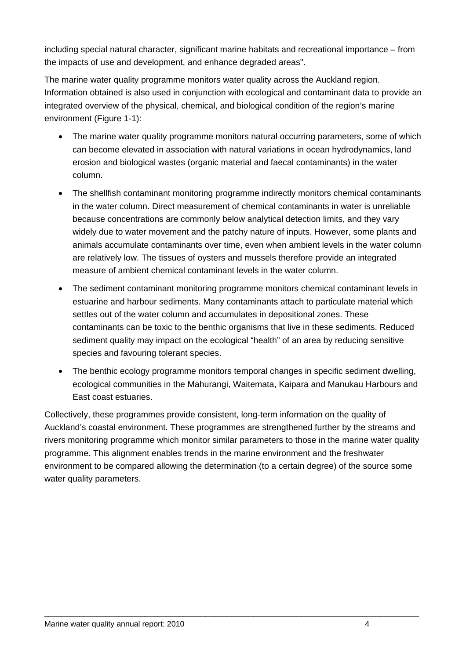including special natural character, significant marine habitats and recreational importance – from the impacts of use and development, and enhance degraded areas".

The marine water quality programme monitors water quality across the Auckland region. Information obtained is also used in conjunction with ecological and contaminant data to provide an integrated overview of the physical, chemical, and biological condition of the region's marine environment ([Figure 1-1](#page-7-1)):

- The marine water quality programme monitors natural occurring parameters, some of which can become elevated in association with natural variations in ocean hydrodynamics, land erosion and biological wastes (organic material and faecal contaminants) in the water column.
- The shellfish contaminant monitoring programme indirectly monitors chemical contaminants in the water column. Direct measurement of chemical contaminants in water is unreliable because concentrations are commonly below analytical detection limits, and they vary widely due to water movement and the patchy nature of inputs. However, some plants and animals accumulate contaminants over time, even when ambient levels in the water column are relatively low. The tissues of oysters and mussels therefore provide an integrated measure of ambient chemical contaminant levels in the water column.
- The sediment contaminant monitoring programme monitors chemical contaminant levels in estuarine and harbour sediments. Many contaminants attach to particulate material which settles out of the water column and accumulates in depositional zones. These contaminants can be toxic to the benthic organisms that live in these sediments. Reduced sediment quality may impact on the ecological "health" of an area by reducing sensitive species and favouring tolerant species.
- The benthic ecology programme monitors temporal changes in specific sediment dwelling, ecological communities in the Mahurangi, Waitemata, Kaipara and Manukau Harbours and East coast estuaries.

Collectively, these programmes provide consistent, long-term information on the quality of Auckland's coastal environment. These programmes are strengthened further by the streams and rivers monitoring programme which monitor similar parameters to those in the marine water quality programme. This alignment enables trends in the marine environment and the freshwater environment to be compared allowing the determination (to a certain degree) of the source some water quality parameters.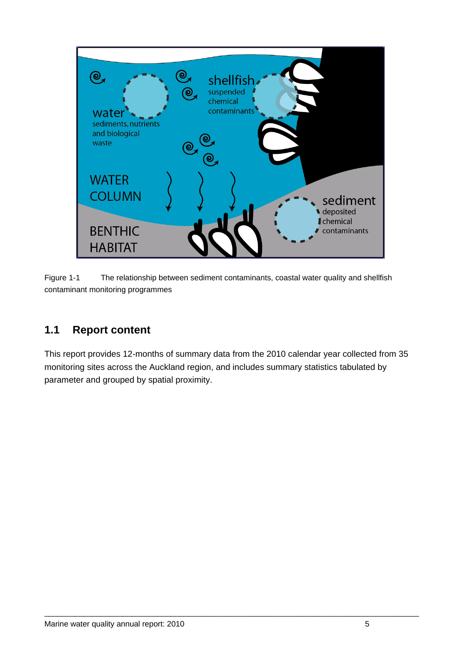

<span id="page-7-1"></span>Figure 1-1 The relationship between sediment contaminants, coastal water quality and shellfish contaminant monitoring programmes

#### <span id="page-7-0"></span>**1.1 Report content**

This report provides 12-months of summary data from the 2010 calendar year collected from 35 monitoring sites across the Auckland region, and includes summary statistics tabulated by parameter and grouped by spatial proximity.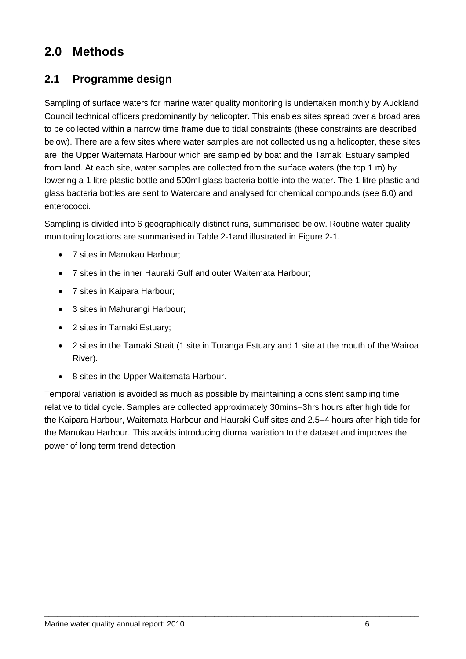## <span id="page-8-0"></span>**2.0 Methods**

#### <span id="page-8-1"></span>**2.1 Programme design**

Sampling of surface waters for marine water quality monitoring is undertaken monthly by Auckland Council technical officers predominantly by helicopter. This enables sites spread over a broad area to be collected within a narrow time frame due to tidal constraints (these constraints are described below). There are a few sites where water samples are not collected using a helicopter, these sites are: the Upper Waitemata Harbour which are sampled by boat and the Tamaki Estuary sampled from land. At each site, water samples are collected from the surface waters (the top 1 m) by lowering a 1 litre plastic bottle and 500ml glass bacteria bottle into the water. The 1 litre plastic and glass bacteria bottles are sent to Watercare and analysed for chemical compounds (see [6.0](#page-43-0)) and enterococci.

Sampling is divided into 6 geographically distinct runs, summarised below. Routine water quality monitoring locations are summarised in [Table 2-1a](#page-9-0)nd illustrated in [Figure 2-1.](#page-10-0)

- 7 sites in Manukau Harbour;
- 7 sites in the inner Hauraki Gulf and outer Waitemata Harbour;
- 7 sites in Kaipara Harbour;
- 3 sites in Mahurangi Harbour;
- 2 sites in Tamaki Estuary;
- 2 sites in the Tamaki Strait (1 site in Turanga Estuary and 1 site at the mouth of the Wairoa River).
- 8 sites in the Upper Waitemata Harbour.

Temporal variation is avoided as much as possible by maintaining a consistent sampling time relative to tidal cycle. Samples are collected approximately 30mins–3hrs hours after high tide for the Kaipara Harbour, Waitemata Harbour and Hauraki Gulf sites and 2.5–4 hours after high tide for the Manukau Harbour. This avoids introducing diurnal variation to the dataset and improves the power of long term trend detection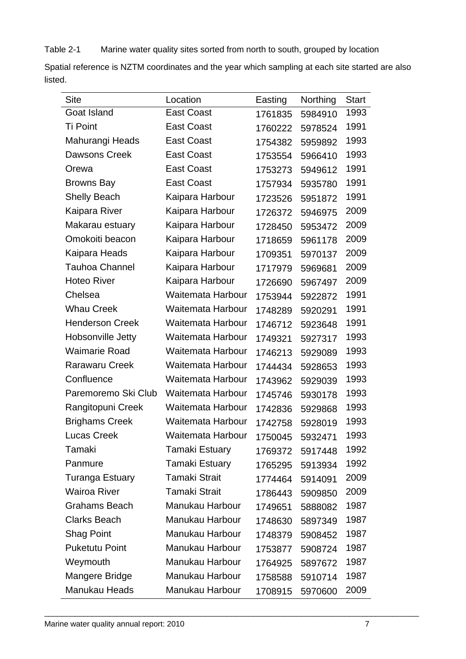<span id="page-9-0"></span>Table 2-1 Marine water quality sites sorted from north to south, grouped by location

Spatial reference is NZTM coordinates and the year which sampling at each site started are also listed.

| <b>Site</b>            | Location              | Easting | Northing | <b>Start</b> |
|------------------------|-----------------------|---------|----------|--------------|
| Goat Island            | <b>East Coast</b>     | 1761835 | 5984910  | 1993         |
| <b>Ti Point</b>        | <b>East Coast</b>     | 1760222 | 5978524  | 1991         |
| Mahurangi Heads        | <b>East Coast</b>     | 1754382 | 5959892  | 1993         |
| <b>Dawsons Creek</b>   | <b>East Coast</b>     | 1753554 | 5966410  | 1993         |
| Orewa                  | <b>East Coast</b>     | 1753273 | 5949612  | 1991         |
| <b>Browns Bay</b>      | <b>East Coast</b>     | 1757934 | 5935780  | 1991         |
| <b>Shelly Beach</b>    | Kaipara Harbour       | 1723526 | 5951872  | 1991         |
| Kaipara River          | Kaipara Harbour       | 1726372 | 5946975  | 2009         |
| Makarau estuary        | Kaipara Harbour       | 1728450 | 5953472  | 2009         |
| Omokoiti beacon        | Kaipara Harbour       | 1718659 | 5961178  | 2009         |
| Kaipara Heads          | Kaipara Harbour       | 1709351 | 5970137  | 2009         |
| <b>Tauhoa Channel</b>  | Kaipara Harbour       | 1717979 | 5969681  | 2009         |
| <b>Hoteo River</b>     | Kaipara Harbour       | 1726690 | 5967497  | 2009         |
| Chelsea                | Waitemata Harbour     | 1753944 | 5922872  | 1991         |
| <b>Whau Creek</b>      | Waitemata Harbour     | 1748289 | 5920291  | 1991         |
| <b>Henderson Creek</b> | Waitemata Harbour     | 1746712 | 5923648  | 1991         |
| Hobsonville Jetty      | Waitemata Harbour     | 1749321 | 5927317  | 1993         |
| <b>Waimarie Road</b>   | Waitemata Harbour     | 1746213 | 5929089  | 1993         |
| <b>Rarawaru Creek</b>  | Waitemata Harbour     | 1744434 | 5928653  | 1993         |
| Confluence             | Waitemata Harbour     | 1743962 | 5929039  | 1993         |
| Paremoremo Ski Club    | Waitemata Harbour     | 1745746 | 5930178  | 1993         |
| Rangitopuni Creek      | Waitemata Harbour     | 1742836 | 5929868  | 1993         |
| <b>Brighams Creek</b>  | Waitemata Harbour     | 1742758 | 5928019  | 1993         |
| <b>Lucas Creek</b>     | Waitemata Harbour     | 1750045 | 5932471  | 1993         |
| Tamaki                 | <b>Tamaki Estuary</b> | 1769372 | 5917448  | 1992         |
| Panmure                | <b>Tamaki Estuary</b> | 1765295 | 5913934  | 1992         |
| <b>Turanga Estuary</b> | <b>Tamaki Strait</b>  | 1774464 | 5914091  | 2009         |
| Wairoa River           | <b>Tamaki Strait</b>  | 1786443 | 5909850  | 2009         |
| <b>Grahams Beach</b>   | Manukau Harbour       | 1749651 | 5888082  | 1987         |
| <b>Clarks Beach</b>    | Manukau Harbour       | 1748630 | 5897349  | 1987         |
| <b>Shag Point</b>      | Manukau Harbour       | 1748379 | 5908452  | 1987         |
| <b>Puketutu Point</b>  | Manukau Harbour       | 1753877 | 5908724  | 1987         |
| Weymouth               | Manukau Harbour       | 1764925 | 5897672  | 1987         |
| Mangere Bridge         | Manukau Harbour       | 1758588 | 5910714  | 1987         |
| Manukau Heads          | Manukau Harbour       | 1708915 | 5970600  | 2009         |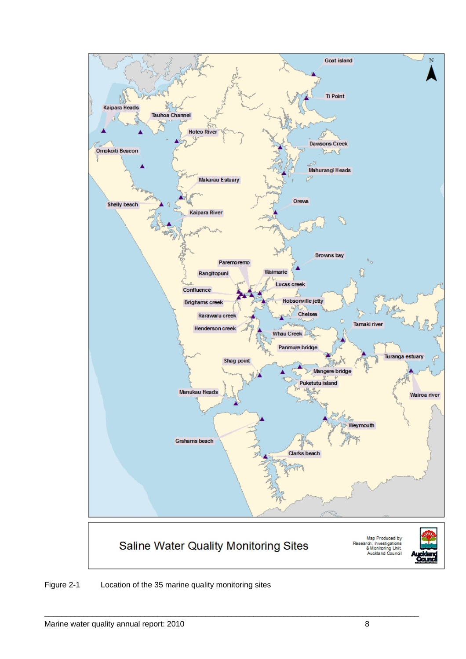

<span id="page-10-0"></span>Figure 2-1 Location of the 35 marine quality monitoring sites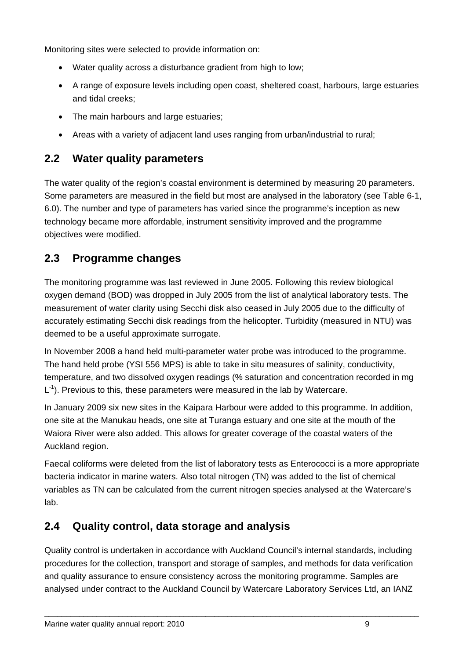Monitoring sites were selected to provide information on:

- Water quality across a disturbance gradient from high to low;
- A range of exposure levels including open coast, sheltered coast, harbours, large estuaries and tidal creeks;
- The main harbours and large estuaries;
- Areas with a variety of adjacent land uses ranging from urban/industrial to rural;

### <span id="page-11-0"></span>**2.2 Water quality parameters**

The water quality of the region's coastal environment is determined by measuring 20 parameters. Some parameters are measured in the field but most are analysed in the laboratory (see [Table 6-1](#page-43-1), [6.0\)](#page-43-0). The number and type of parameters has varied since the programme's inception as new technology became more affordable, instrument sensitivity improved and the programme objectives were modified.

## <span id="page-11-1"></span>**2.3 Programme changes**

The monitoring programme was last reviewed in June 2005. Following this review biological oxygen demand (BOD) was dropped in July 2005 from the list of analytical laboratory tests. The measurement of water clarity using Secchi disk also ceased in July 2005 due to the difficulty of accurately estimating Secchi disk readings from the helicopter. Turbidity (measured in NTU) was deemed to be a useful approximate surrogate.

In November 2008 a hand held multi-parameter water probe was introduced to the programme. The hand held probe (YSI 556 MPS) is able to take in situ measures of salinity, conductivity, temperature, and two dissolved oxygen readings (% saturation and concentration recorded in mg  $L^{-1}$ ). Previous to this, these parameters were measured in the lab by Watercare.

In January 2009 six new sites in the Kaipara Harbour were added to this programme. In addition, one site at the Manukau heads, one site at Turanga estuary and one site at the mouth of the Waiora River were also added. This allows for greater coverage of the coastal waters of the Auckland region.

Faecal coliforms were deleted from the list of laboratory tests as Enterococci is a more appropriate bacteria indicator in marine waters. Also total nitrogen (TN) was added to the list of chemical variables as TN can be calculated from the current nitrogen species analysed at the Watercare's lab.

## <span id="page-11-2"></span>**2.4 Quality control, data storage and analysis**

Quality control is undertaken in accordance with Auckland Council's internal standards, including procedures for the collection, transport and storage of samples, and methods for data verification and quality assurance to ensure consistency across the monitoring programme. Samples are analysed under contract to the Auckland Council by Watercare Laboratory Services Ltd, an IANZ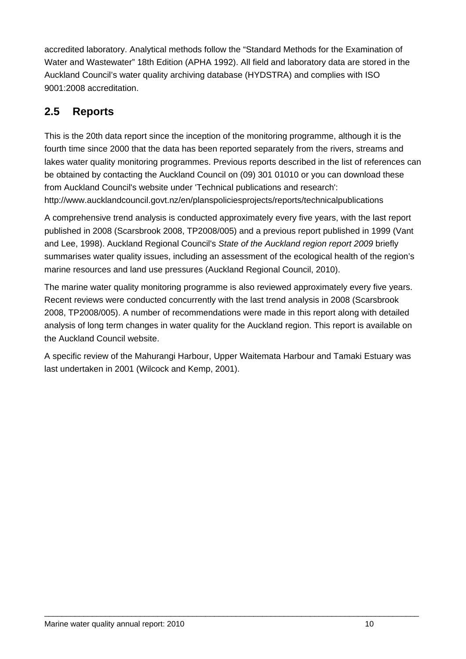accredited laboratory. Analytical methods follow the "Standard Methods for the Examination of Water and Wastewater" 18th Edition (APHA 1992). All field and laboratory data are stored in the Auckland Council's water quality archiving database (HYDSTRA) and complies with ISO 9001:2008 accreditation.

#### <span id="page-12-0"></span>**2.5 Reports**

This is the 20th data report since the inception of the monitoring programme, although it is the fourth time since 2000 that the data has been reported separately from the rivers, streams and lakes water quality monitoring programmes. Previous reports described in the list of references can be obtained by contacting the Auckland Council on (09) 301 01010 or you can download these from Auckland Council's website under 'Technical publications and research': http://www.aucklandcouncil.govt.nz/en/planspoliciesprojects/reports/technicalpublications

A comprehensive trend analysis is conducted approximately every five years, with the last report published in 2008 (Scarsbrook 2008, TP2008/005) and a previous report published in 1999 (Vant and Lee, 1998). Auckland Regional Council's *State of the Auckland region report 2009* briefly summarises water quality issues, including an assessment of the ecological health of the region's marine resources and land use pressures (Auckland Regional Council, 2010).

The marine water quality monitoring programme is also reviewed approximately every five years. Recent reviews were conducted concurrently with the last trend analysis in 2008 (Scarsbrook 2008, TP2008/005). A number of recommendations were made in this report along with detailed analysis of long term changes in water quality for the Auckland region. This report is available on the Auckland Council website.

A specific review of the Mahurangi Harbour, Upper Waitemata Harbour and Tamaki Estuary was last undertaken in 2001 (Wilcock and Kemp, 2001).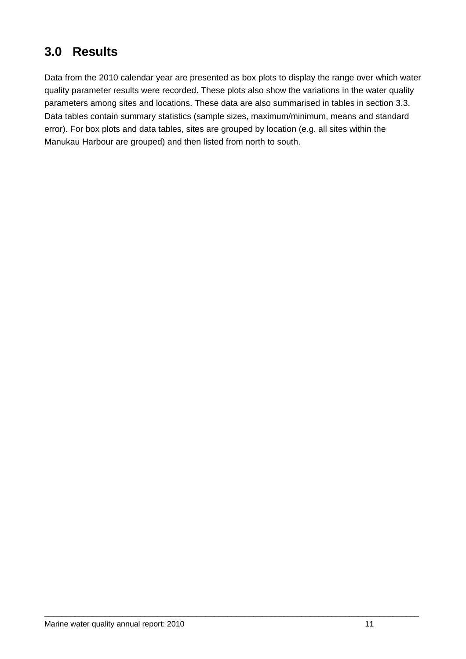## <span id="page-13-0"></span>**3.0 Results**

Data from the 2010 calendar year are presented as box plots to display the range over which water quality parameter results were recorded. These plots also show the variations in the water quality parameters among sites and locations. These data are also summarised in tables in section [3.3.](#page-23-0) Data tables contain summary statistics (sample sizes, maximum/minimum, means and standard error). For box plots and data tables, sites are grouped by location (e.g. all sites within the Manukau Harbour are grouped) and then listed from north to south.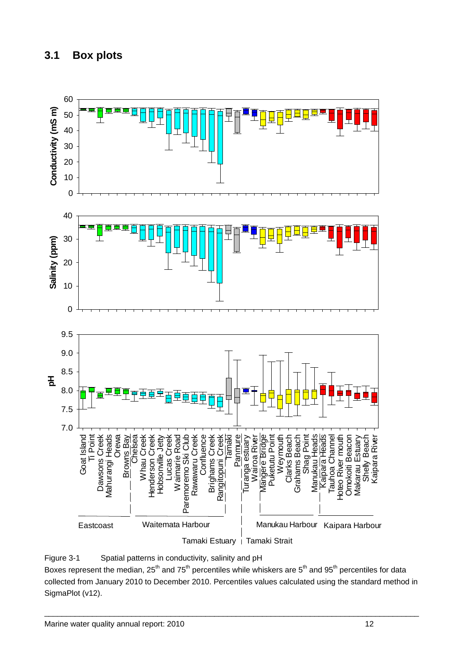<span id="page-14-0"></span>

<span id="page-14-1"></span>

Boxes represent the median, 25<sup>th</sup> and 75<sup>th</sup> percentiles while whiskers are 5<sup>th</sup> and 95<sup>th</sup> percentiles for data collected from January 2010 to December 2010. Percentiles values calculated using the standard method in SigmaPlot (v12).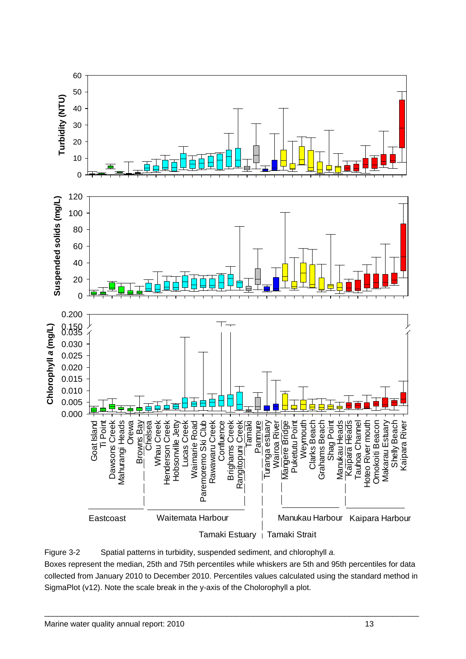

<span id="page-15-0"></span>Figure 3-2 Spatial patterns in turbidity, suspended sediment, and chlorophyll *a.* Boxes represent the median, 25th and 75th percentiles while whiskers are 5th and 95th percentiles for data collected from January 2010 to December 2010. Percentiles values calculated using the standard method in SigmaPlot (v12). Note the scale break in the y-axis of the Cholorophyll a plot.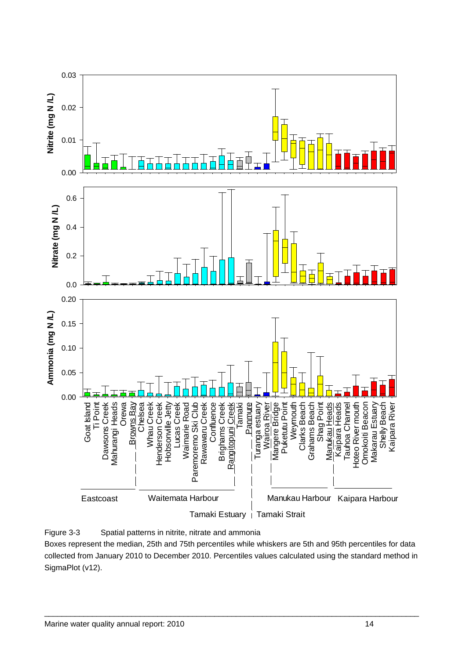

<span id="page-16-0"></span>

Boxes represent the median, 25th and 75th percentiles while whiskers are 5th and 95th percentiles for data collected from January 2010 to December 2010. Percentiles values calculated using the standard method in SigmaPlot (v12).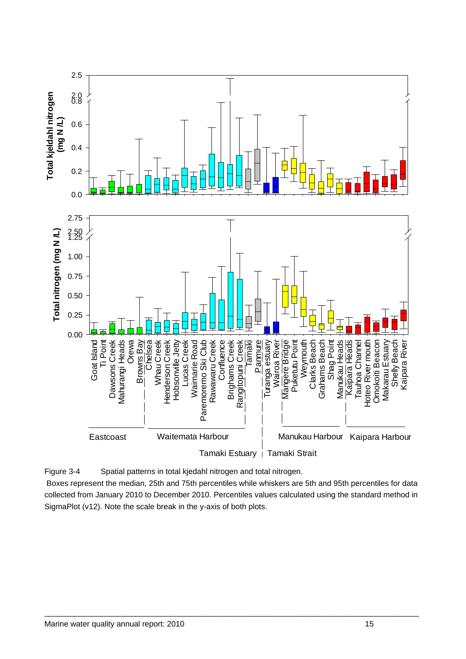

<span id="page-17-0"></span>Figure 3-4 Spatial patterns in total kjedahl nitrogen and total nitrogen.

 Boxes represent the median, 25th and 75th percentiles while whiskers are 5th and 95th percentiles for data collected from January 2010 to December 2010. Percentiles values calculated using the standard method in SigmaPlot (v12). Note the scale break in the y-axis of both plots.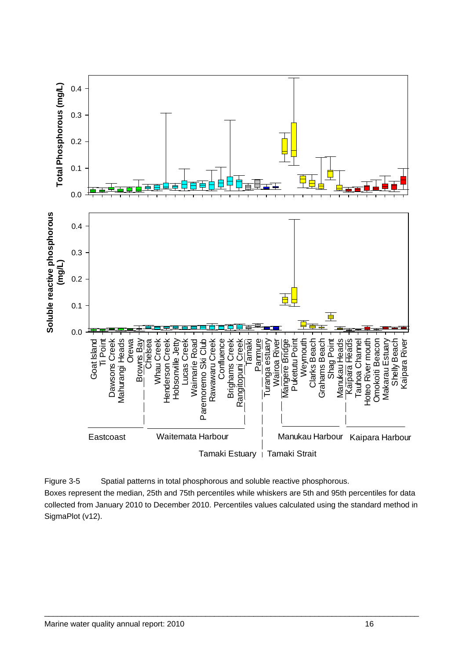

<span id="page-18-0"></span>Figure 3-5 Spatial patterns in total phosphorous and soluble reactive phosphorous. Boxes represent the median, 25th and 75th percentiles while whiskers are 5th and 95th percentiles for data collected from January 2010 to December 2010. Percentiles values calculated using the standard method in SigmaPlot (v12).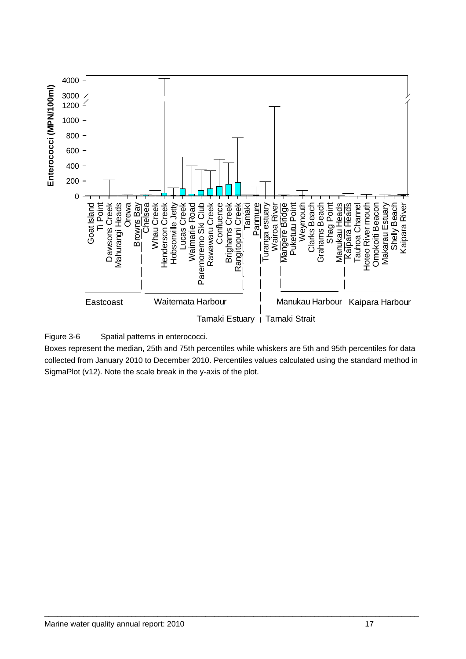

<span id="page-19-0"></span>Figure 3-6 Spatial patterns in enterococci.

Boxes represent the median, 25th and 75th percentiles while whiskers are 5th and 95th percentiles for data collected from January 2010 to December 2010. Percentiles values calculated using the standard method in SigmaPlot (v12). Note the scale break in the y-axis of the plot.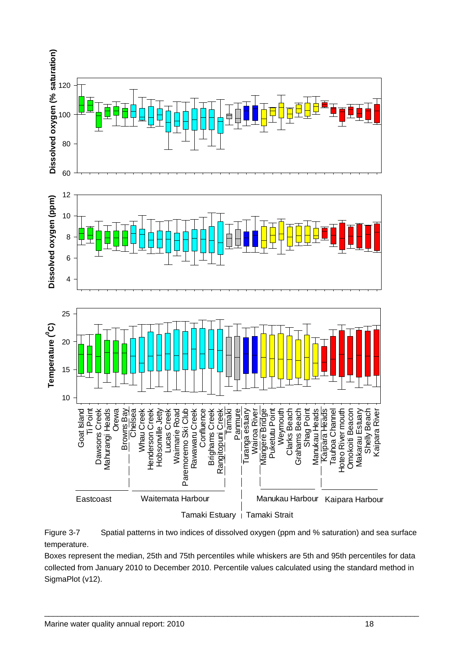

<span id="page-20-0"></span>

Boxes represent the median, 25th and 75th percentiles while whiskers are 5th and 95th percentiles for data collected from January 2010 to December 2010. Percentile values calculated using the standard method in SigmaPlot (v12).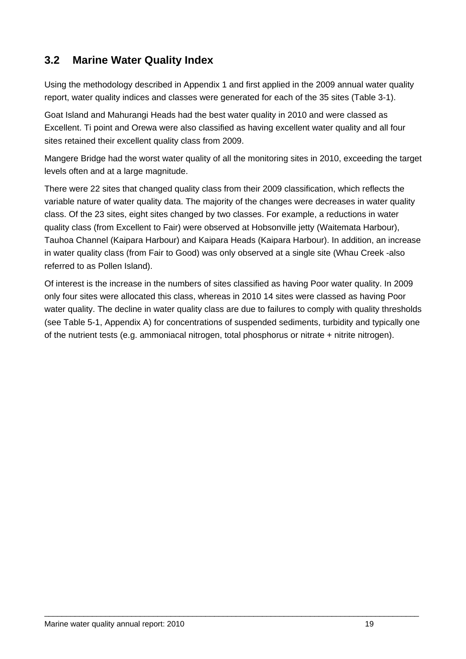#### <span id="page-21-0"></span>**3.2 Marine Water Quality Index**

Using the methodology described in Appendix 1 and first applied in the 2009 annual water quality report, water quality indices and classes were generated for each of the 35 sites (Table 3-1).

Goat Island and Mahurangi Heads had the best water quality in 2010 and were classed as Excellent. Ti point and Orewa were also classified as having excellent water quality and all four sites retained their excellent quality class from 2009.

Mangere Bridge had the worst water quality of all the monitoring sites in 2010, exceeding the target levels often and at a large magnitude.

There were 22 sites that changed quality class from their 2009 classification, which reflects the variable nature of water quality data. The majority of the changes were decreases in water quality class. Of the 23 sites, eight sites changed by two classes. For example, a reductions in water quality class (from Excellent to Fair) were observed at Hobsonville jetty (Waitemata Harbour), Tauhoa Channel (Kaipara Harbour) and Kaipara Heads (Kaipara Harbour). In addition, an increase in water quality class (from Fair to Good) was only observed at a single site (Whau Creek -also referred to as Pollen Island).

Of interest is the increase in the numbers of sites classified as having Poor water quality. In 2009 only four sites were allocated this class, whereas in 2010 14 sites were classed as having Poor water quality. The decline in water quality class are due to failures to comply with quality thresholds (see Table 5-1, Appendix A) for concentrations of suspended sediments, turbidity and typically one of the nutrient tests (e.g. ammoniacal nitrogen, total phosphorus or nitrate + nitrite nitrogen).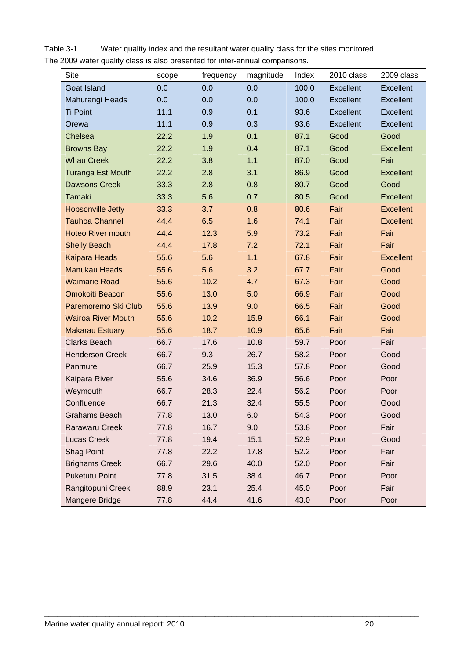| Site                      | scope | frequency | magnitude | Index | 2010 class       | 2009 class       |
|---------------------------|-------|-----------|-----------|-------|------------------|------------------|
| <b>Goat Island</b>        | 0.0   | 0.0       | 0.0       | 100.0 | <b>Excellent</b> | Excellent        |
| Mahurangi Heads           | 0.0   | 0.0       | 0.0       | 100.0 | Excellent        | Excellent        |
| <b>Ti Point</b>           | 11.1  | 0.9       | 0.1       | 93.6  | <b>Excellent</b> | Excellent        |
| Orewa                     | 11.1  | 0.9       | 0.3       | 93.6  | <b>Excellent</b> | Excellent        |
| Chelsea                   | 22.2  | 1.9       | 0.1       | 87.1  | Good             | Good             |
| <b>Browns Bay</b>         | 22.2  | 1.9       | 0.4       | 87.1  | Good             | <b>Excellent</b> |
| <b>Whau Creek</b>         | 22.2  | 3.8       | $1.1$     | 87.0  | Good             | Fair             |
| <b>Turanga Est Mouth</b>  | 22.2  | 2.8       | 3.1       | 86.9  | Good             | Excellent        |
| <b>Dawsons Creek</b>      | 33.3  | 2.8       | 0.8       | 80.7  | Good             | Good             |
| Tamaki                    | 33.3  | 5.6       | 0.7       | 80.5  | Good             | <b>Excellent</b> |
| <b>Hobsonville Jetty</b>  | 33.3  | 3.7       | 0.8       | 80.6  | Fair             | <b>Excellent</b> |
| <b>Tauhoa Channel</b>     | 44.4  | 6.5       | 1.6       | 74.1  | Fair             | <b>Excellent</b> |
| <b>Hoteo River mouth</b>  | 44.4  | 12.3      | 5.9       | 73.2  | Fair             | Fair             |
| <b>Shelly Beach</b>       | 44.4  | 17.8      | 7.2       | 72.1  | Fair             | Fair             |
| <b>Kaipara Heads</b>      | 55.6  | 5.6       | $1.1$     | 67.8  | Fair             | <b>Excellent</b> |
| <b>Manukau Heads</b>      | 55.6  | 5.6       | 3.2       | 67.7  | Fair             | Good             |
| <b>Waimarie Road</b>      | 55.6  | 10.2      | 4.7       | 67.3  | Fair             | Good             |
| <b>Omokoiti Beacon</b>    | 55.6  | 13.0      | 5.0       | 66.9  | Fair             | Good             |
| Paremoremo Ski Club       | 55.6  | 13.9      | 9.0       | 66.5  | Fair             | Good             |
| <b>Wairoa River Mouth</b> | 55.6  | 10.2      | 15.9      | 66.1  | Fair             | Good             |
| <b>Makarau Estuary</b>    | 55.6  | 18.7      | 10.9      | 65.6  | Fair             | Fair             |
| <b>Clarks Beach</b>       | 66.7  | 17.6      | 10.8      | 59.7  | Poor             | Fair             |
| <b>Henderson Creek</b>    | 66.7  | 9.3       | 26.7      | 58.2  | Poor             | Good             |
| Panmure                   | 66.7  | 25.9      | 15.3      | 57.8  | Poor             | Good             |
| Kaipara River             | 55.6  | 34.6      | 36.9      | 56.6  | Poor             | Poor             |
| Weymouth                  | 66.7  | 28.3      | 22.4      | 56.2  | Poor             | Poor             |
| Confluence                | 66.7  | 21.3      | 32.4      | 55.5  | Poor             | Good             |
| Grahams Beach             | 77.8  | 13.0      | 6.0       | 54.3  | Poor             | Good             |
| <b>Rarawaru Creek</b>     | 77.8  | 16.7      | 9.0       | 53.8  | Poor             | Fair             |
| <b>Lucas Creek</b>        | 77.8  | 19.4      | 15.1      | 52.9  | Poor             | Good             |
| <b>Shag Point</b>         | 77.8  | 22.2      | 17.8      | 52.2  | Poor             | Fair             |
| <b>Brighams Creek</b>     | 66.7  | 29.6      | 40.0      | 52.0  | Poor             | Fair             |
| <b>Puketutu Point</b>     | 77.8  | 31.5      | 38.4      | 46.7  | Poor             | Poor             |
| Rangitopuni Creek         | 88.9  | 23.1      | 25.4      | 45.0  | Poor             | Fair             |
| Mangere Bridge            | 77.8  | 44.4      | 41.6      | 43.0  | Poor             | Poor             |

<span id="page-22-0"></span>Table 3-1 Water quality index and the resultant water quality class for the sites monitored. The 2009 water quality class is also presented for inter-annual comparisons.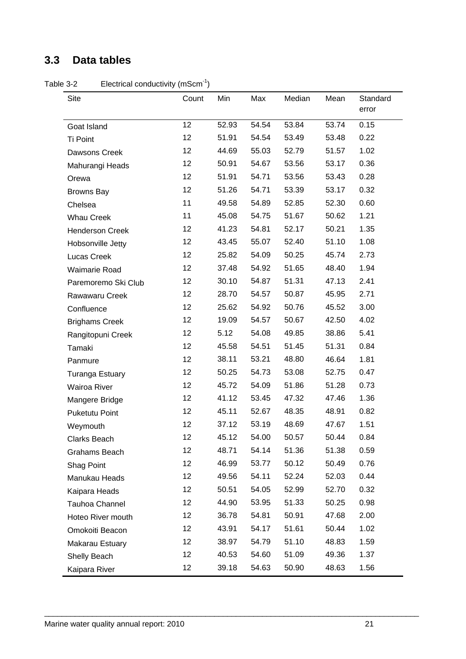#### <span id="page-23-0"></span>**3.3 Data tables**

<span id="page-23-1"></span>Table 3-2 Electrical conductivity (mScm<sup>-1</sup>)

| Site                   | Count | Min   | Max   | Median | Mean  | Standard<br>error |
|------------------------|-------|-------|-------|--------|-------|-------------------|
| Goat Island            | 12    | 52.93 | 54.54 | 53.84  | 53.74 | 0.15              |
| Ti Point               | 12    | 51.91 | 54.54 | 53.49  | 53.48 | 0.22              |
| Dawsons Creek          | 12    | 44.69 | 55.03 | 52.79  | 51.57 | 1.02              |
| Mahurangi Heads        | 12    | 50.91 | 54.67 | 53.56  | 53.17 | 0.36              |
| Orewa                  | 12    | 51.91 | 54.71 | 53.56  | 53.43 | 0.28              |
| <b>Browns Bay</b>      | 12    | 51.26 | 54.71 | 53.39  | 53.17 | 0.32              |
| Chelsea                | 11    | 49.58 | 54.89 | 52.85  | 52.30 | 0.60              |
| <b>Whau Creek</b>      | 11    | 45.08 | 54.75 | 51.67  | 50.62 | 1.21              |
| <b>Henderson Creek</b> | 12    | 41.23 | 54.81 | 52.17  | 50.21 | 1.35              |
| Hobsonville Jetty      | 12    | 43.45 | 55.07 | 52.40  | 51.10 | 1.08              |
| Lucas Creek            | 12    | 25.82 | 54.09 | 50.25  | 45.74 | 2.73              |
| <b>Waimarie Road</b>   | 12    | 37.48 | 54.92 | 51.65  | 48.40 | 1.94              |
| Paremoremo Ski Club    | 12    | 30.10 | 54.87 | 51.31  | 47.13 | 2.41              |
| Rawawaru Creek         | 12    | 28.70 | 54.57 | 50.87  | 45.95 | 2.71              |
| Confluence             | 12    | 25.62 | 54.92 | 50.76  | 45.52 | 3.00              |
| <b>Brighams Creek</b>  | 12    | 19.09 | 54.57 | 50.67  | 42.50 | 4.02              |
| Rangitopuni Creek      | 12    | 5.12  | 54.08 | 49.85  | 38.86 | 5.41              |
| Tamaki                 | 12    | 45.58 | 54.51 | 51.45  | 51.31 | 0.84              |
| Panmure                | 12    | 38.11 | 53.21 | 48.80  | 46.64 | 1.81              |
| <b>Turanga Estuary</b> | 12    | 50.25 | 54.73 | 53.08  | 52.75 | 0.47              |
| <b>Wairoa River</b>    | 12    | 45.72 | 54.09 | 51.86  | 51.28 | 0.73              |
| Mangere Bridge         | 12    | 41.12 | 53.45 | 47.32  | 47.46 | 1.36              |
| <b>Puketutu Point</b>  | 12    | 45.11 | 52.67 | 48.35  | 48.91 | 0.82              |
| Weymouth               | 12    | 37.12 | 53.19 | 48.69  | 47.67 | 1.51              |
| Clarks Beach           | 12    | 45.12 | 54.00 | 50.57  | 50.44 | 0.84              |
| Grahams Beach          | 12    | 48.71 | 54.14 | 51.36  | 51.38 | 0.59              |
| Shag Point             | 12    | 46.99 | 53.77 | 50.12  | 50.49 | 0.76              |
| Manukau Heads          | 12    | 49.56 | 54.11 | 52.24  | 52.03 | 0.44              |
| Kaipara Heads          | 12    | 50.51 | 54.05 | 52.99  | 52.70 | 0.32              |
| Tauhoa Channel         | 12    | 44.90 | 53.95 | 51.33  | 50.25 | 0.98              |
| Hoteo River mouth      | 12    | 36.78 | 54.81 | 50.91  | 47.68 | 2.00              |
| Omokoiti Beacon        | 12    | 43.91 | 54.17 | 51.61  | 50.44 | 1.02              |
| Makarau Estuary        | 12    | 38.97 | 54.79 | 51.10  | 48.83 | 1.59              |
| Shelly Beach           | 12    | 40.53 | 54.60 | 51.09  | 49.36 | 1.37              |
| Kaipara River          | 12    | 39.18 | 54.63 | 50.90  | 48.63 | 1.56              |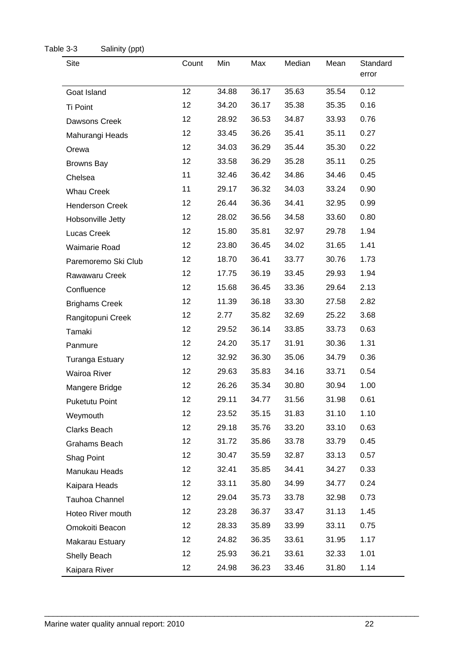<span id="page-24-0"></span>

| Table 3-3<br>Salinity (ppt) |       |       |       |        |       |                   |
|-----------------------------|-------|-------|-------|--------|-------|-------------------|
| Site                        | Count | Min   | Max   | Median | Mean  | Standard<br>error |
| Goat Island                 | 12    | 34.88 | 36.17 | 35.63  | 35.54 | 0.12              |
| Ti Point                    | 12    | 34.20 | 36.17 | 35.38  | 35.35 | 0.16              |
| Dawsons Creek               | 12    | 28.92 | 36.53 | 34.87  | 33.93 | 0.76              |
| Mahurangi Heads             | 12    | 33.45 | 36.26 | 35.41  | 35.11 | 0.27              |
| Orewa                       | 12    | 34.03 | 36.29 | 35.44  | 35.30 | 0.22              |
| <b>Browns Bay</b>           | 12    | 33.58 | 36.29 | 35.28  | 35.11 | 0.25              |
| Chelsea                     | 11    | 32.46 | 36.42 | 34.86  | 34.46 | 0.45              |
| <b>Whau Creek</b>           | 11    | 29.17 | 36.32 | 34.03  | 33.24 | 0.90              |
| <b>Henderson Creek</b>      | 12    | 26.44 | 36.36 | 34.41  | 32.95 | 0.99              |
| Hobsonville Jetty           | 12    | 28.02 | 36.56 | 34.58  | 33.60 | 0.80              |
| Lucas Creek                 | 12    | 15.80 | 35.81 | 32.97  | 29.78 | 1.94              |
| Waimarie Road               | 12    | 23.80 | 36.45 | 34.02  | 31.65 | 1.41              |
| Paremoremo Ski Club         | 12    | 18.70 | 36.41 | 33.77  | 30.76 | 1.73              |
| Rawawaru Creek              | 12    | 17.75 | 36.19 | 33.45  | 29.93 | 1.94              |
| Confluence                  | 12    | 15.68 | 36.45 | 33.36  | 29.64 | 2.13              |
| <b>Brighams Creek</b>       | 12    | 11.39 | 36.18 | 33.30  | 27.58 | 2.82              |
| Rangitopuni Creek           | 12    | 2.77  | 35.82 | 32.69  | 25.22 | 3.68              |
| Tamaki                      | 12    | 29.52 | 36.14 | 33.85  | 33.73 | 0.63              |
| Panmure                     | 12    | 24.20 | 35.17 | 31.91  | 30.36 | 1.31              |
| <b>Turanga Estuary</b>      | 12    | 32.92 | 36.30 | 35.06  | 34.79 | 0.36              |
| Wairoa River                | 12    | 29.63 | 35.83 | 34.16  | 33.71 | 0.54              |
| Mangere Bridge              | 12    | 26.26 | 35.34 | 30.80  | 30.94 | 1.00              |
| Puketutu Point              | 12    | 29.11 | 34.77 | 31.56  | 31.98 | 0.61              |
| Weymouth                    | 12    | 23.52 | 35.15 | 31.83  | 31.10 | 1.10              |
| Clarks Beach                | 12    | 29.18 | 35.76 | 33.20  | 33.10 | 0.63              |
| Grahams Beach               | 12    | 31.72 | 35.86 | 33.78  | 33.79 | 0.45              |
| Shag Point                  | 12    | 30.47 | 35.59 | 32.87  | 33.13 | 0.57              |
| Manukau Heads               | 12    | 32.41 | 35.85 | 34.41  | 34.27 | 0.33              |
| Kaipara Heads               | 12    | 33.11 | 35.80 | 34.99  | 34.77 | 0.24              |
| Tauhoa Channel              | 12    | 29.04 | 35.73 | 33.78  | 32.98 | 0.73              |
| Hoteo River mouth           | 12    | 23.28 | 36.37 | 33.47  | 31.13 | 1.45              |
| Omokoiti Beacon             | 12    | 28.33 | 35.89 | 33.99  | 33.11 | 0.75              |
| Makarau Estuary             | 12    | 24.82 | 36.35 | 33.61  | 31.95 | 1.17              |
| Shelly Beach                | 12    | 25.93 | 36.21 | 33.61  | 32.33 | 1.01              |
| Kaipara River               | 12    | 24.98 | 36.23 | 33.46  | 31.80 | 1.14              |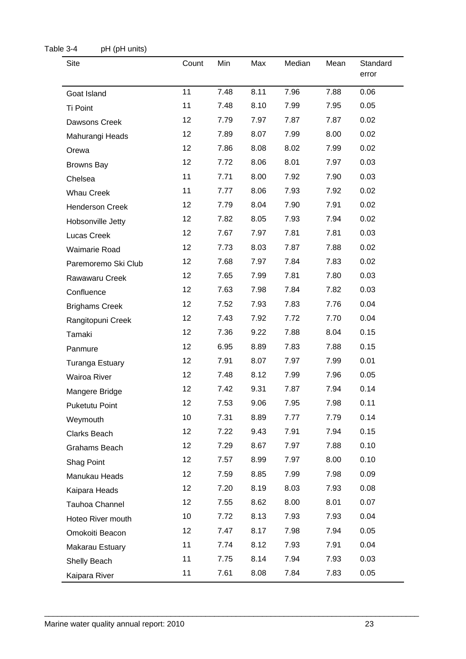<span id="page-25-0"></span>

| Table 3-4<br>pH (pH units) |       |      |      |        |      |                   |
|----------------------------|-------|------|------|--------|------|-------------------|
| Site                       | Count | Min  | Max  | Median | Mean | Standard<br>error |
| Goat Island                | 11    | 7.48 | 8.11 | 7.96   | 7.88 | 0.06              |
| Ti Point                   | 11    | 7.48 | 8.10 | 7.99   | 7.95 | 0.05              |
| Dawsons Creek              | 12    | 7.79 | 7.97 | 7.87   | 7.87 | 0.02              |
| Mahurangi Heads            | 12    | 7.89 | 8.07 | 7.99   | 8.00 | 0.02              |
| Orewa                      | 12    | 7.86 | 8.08 | 8.02   | 7.99 | 0.02              |
| <b>Browns Bay</b>          | 12    | 7.72 | 8.06 | 8.01   | 7.97 | 0.03              |
| Chelsea                    | 11    | 7.71 | 8.00 | 7.92   | 7.90 | 0.03              |
| <b>Whau Creek</b>          | 11    | 7.77 | 8.06 | 7.93   | 7.92 | 0.02              |
| <b>Henderson Creek</b>     | 12    | 7.79 | 8.04 | 7.90   | 7.91 | 0.02              |
| Hobsonville Jetty          | 12    | 7.82 | 8.05 | 7.93   | 7.94 | 0.02              |
| Lucas Creek                | 12    | 7.67 | 7.97 | 7.81   | 7.81 | 0.03              |
| <b>Waimarie Road</b>       | 12    | 7.73 | 8.03 | 7.87   | 7.88 | 0.02              |
| Paremoremo Ski Club        | 12    | 7.68 | 7.97 | 7.84   | 7.83 | 0.02              |
| Rawawaru Creek             | 12    | 7.65 | 7.99 | 7.81   | 7.80 | 0.03              |
| Confluence                 | 12    | 7.63 | 7.98 | 7.84   | 7.82 | 0.03              |
| <b>Brighams Creek</b>      | 12    | 7.52 | 7.93 | 7.83   | 7.76 | 0.04              |
| Rangitopuni Creek          | 12    | 7.43 | 7.92 | 7.72   | 7.70 | 0.04              |
| Tamaki                     | 12    | 7.36 | 9.22 | 7.88   | 8.04 | 0.15              |
| Panmure                    | 12    | 6.95 | 8.89 | 7.83   | 7.88 | 0.15              |
| <b>Turanga Estuary</b>     | 12    | 7.91 | 8.07 | 7.97   | 7.99 | 0.01              |
| <b>Wairoa River</b>        | 12    | 7.48 | 8.12 | 7.99   | 7.96 | 0.05              |
| Mangere Bridge             | 12    | 7.42 | 9.31 | 7.87   | 7.94 | 0.14              |
| <b>Puketutu Point</b>      | 12    | 7.53 | 9.06 | 7.95   | 7.98 | 0.11              |
| Weymouth                   | 10    | 7.31 | 8.89 | 7.77   | 7.79 | 0.14              |
| Clarks Beach               | 12    | 7.22 | 9.43 | 7.91   | 7.94 | 0.15              |
| Grahams Beach              | 12    | 7.29 | 8.67 | 7.97   | 7.88 | 0.10              |
| Shag Point                 | 12    | 7.57 | 8.99 | 7.97   | 8.00 | 0.10              |
| Manukau Heads              | 12    | 7.59 | 8.85 | 7.99   | 7.98 | 0.09              |
| Kaipara Heads              | 12    | 7.20 | 8.19 | 8.03   | 7.93 | 0.08              |
| Tauhoa Channel             | 12    | 7.55 | 8.62 | 8.00   | 8.01 | 0.07              |
| Hoteo River mouth          | 10    | 7.72 | 8.13 | 7.93   | 7.93 | 0.04              |
| Omokoiti Beacon            | 12    | 7.47 | 8.17 | 7.98   | 7.94 | 0.05              |
| Makarau Estuary            | 11    | 7.74 | 8.12 | 7.93   | 7.91 | 0.04              |
| Shelly Beach               | 11    | 7.75 | 8.14 | 7.94   | 7.93 | 0.03              |
| Kaipara River              | 11    | 7.61 | 8.08 | 7.84   | 7.83 | 0.05              |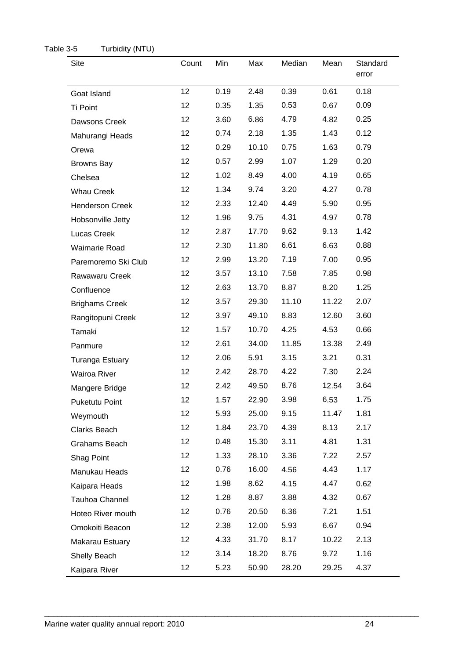<span id="page-26-0"></span>

| <b>Site</b>            | Count           | Min  | Max   | Median | Mean  | Standard<br>error |
|------------------------|-----------------|------|-------|--------|-------|-------------------|
| Goat Island            | 12 <sub>2</sub> | 0.19 | 2.48  | 0.39   | 0.61  | 0.18              |
| <b>Ti Point</b>        | 12              | 0.35 | 1.35  | 0.53   | 0.67  | 0.09              |
| Dawsons Creek          | 12 <sub>2</sub> | 3.60 | 6.86  | 4.79   | 4.82  | 0.25              |
| Mahurangi Heads        | 12              | 0.74 | 2.18  | 1.35   | 1.43  | 0.12              |
| Orewa                  | 12 <sub>2</sub> | 0.29 | 10.10 | 0.75   | 1.63  | 0.79              |
| <b>Browns Bay</b>      | 12 <sub>2</sub> | 0.57 | 2.99  | 1.07   | 1.29  | 0.20              |
| Chelsea                | 12 <sub>2</sub> | 1.02 | 8.49  | 4.00   | 4.19  | 0.65              |
| <b>Whau Creek</b>      | 12 <sub>2</sub> | 1.34 | 9.74  | 3.20   | 4.27  | 0.78              |
| <b>Henderson Creek</b> | 12 <sub>2</sub> | 2.33 | 12.40 | 4.49   | 5.90  | 0.95              |
| Hobsonville Jetty      | 12 <sub>2</sub> | 1.96 | 9.75  | 4.31   | 4.97  | 0.78              |
| Lucas Creek            | 12              | 2.87 | 17.70 | 9.62   | 9.13  | 1.42              |
| <b>Waimarie Road</b>   | 12              | 2.30 | 11.80 | 6.61   | 6.63  | 0.88              |
| Paremoremo Ski Club    | 12              | 2.99 | 13.20 | 7.19   | 7.00  | 0.95              |
| Rawawaru Creek         | 12              | 3.57 | 13.10 | 7.58   | 7.85  | 0.98              |
| Confluence             | 12 <sub>2</sub> | 2.63 | 13.70 | 8.87   | 8.20  | 1.25              |
| <b>Brighams Creek</b>  | 12 <sub>2</sub> | 3.57 | 29.30 | 11.10  | 11.22 | 2.07              |
| Rangitopuni Creek      | 12 <sub>2</sub> | 3.97 | 49.10 | 8.83   | 12.60 | 3.60              |
| Tamaki                 | 12 <sub>2</sub> | 1.57 | 10.70 | 4.25   | 4.53  | 0.66              |
| Panmure                | 12 <sub>2</sub> | 2.61 | 34.00 | 11.85  | 13.38 | 2.49              |
| Turanga Estuary        | 12              | 2.06 | 5.91  | 3.15   | 3.21  | 0.31              |
| Wairoa River           | 12 <sub>2</sub> | 2.42 | 28.70 | 4.22   | 7.30  | 2.24              |
| Mangere Bridge         | 12              | 2.42 | 49.50 | 8.76   | 12.54 | 3.64              |
| <b>Puketutu Point</b>  | 12              | 1.57 | 22.90 | 3.98   | 6.53  | 1.75              |
| Weymouth               | 12              | 5.93 | 25.00 | 9.15   | 11.47 | 1.81              |
| Clarks Beach           | 12              | 1.84 | 23.70 | 4.39   | 8.13  | 2.17              |
| Grahams Beach          | 12 <sub>2</sub> | 0.48 | 15.30 | 3.11   | 4.81  | 1.31              |
| Shag Point             | 12              | 1.33 | 28.10 | 3.36   | 7.22  | 2.57              |
| Manukau Heads          | 12 <sub>2</sub> | 0.76 | 16.00 | 4.56   | 4.43  | 1.17              |
| Kaipara Heads          | 12 <sub>2</sub> | 1.98 | 8.62  | 4.15   | 4.47  | 0.62              |
| Tauhoa Channel         | 12 <sub>2</sub> | 1.28 | 8.87  | 3.88   | 4.32  | 0.67              |
| Hoteo River mouth      | 12              | 0.76 | 20.50 | 6.36   | 7.21  | 1.51              |
| Omokoiti Beacon        | 12 <sub>2</sub> | 2.38 | 12.00 | 5.93   | 6.67  | 0.94              |
| Makarau Estuary        | 12 <sub>2</sub> | 4.33 | 31.70 | 8.17   | 10.22 | 2.13              |
| Shelly Beach           | 12 <sub>2</sub> | 3.14 | 18.20 | 8.76   | 9.72  | 1.16              |
| Kaipara River          | 12 <sub>2</sub> | 5.23 | 50.90 | 28.20  | 29.25 | 4.37              |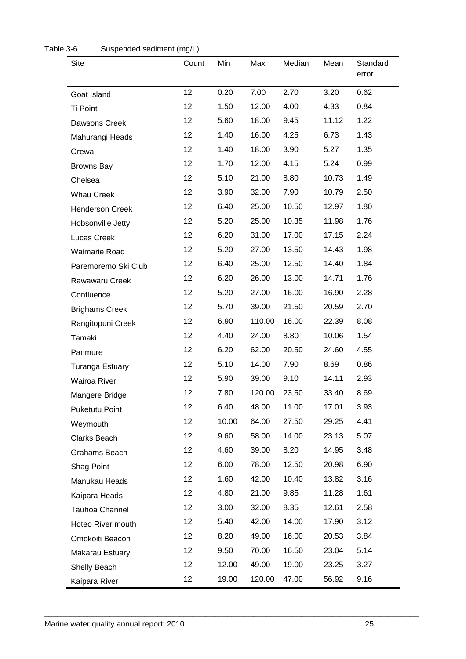<span id="page-27-0"></span>

| <b>Site</b>            | Count | Min   | Max    | Median | Mean  | Standard<br>error |
|------------------------|-------|-------|--------|--------|-------|-------------------|
| Goat Island            | 12    | 0.20  | 7.00   | 2.70   | 3.20  | 0.62              |
| Ti Point               | 12    | 1.50  | 12.00  | 4.00   | 4.33  | 0.84              |
| Dawsons Creek          | 12    | 5.60  | 18.00  | 9.45   | 11.12 | 1.22              |
| Mahurangi Heads        | 12    | 1.40  | 16.00  | 4.25   | 6.73  | 1.43              |
| Orewa                  | 12    | 1.40  | 18.00  | 3.90   | 5.27  | 1.35              |
| <b>Browns Bay</b>      | 12    | 1.70  | 12.00  | 4.15   | 5.24  | 0.99              |
| Chelsea                | 12    | 5.10  | 21.00  | 8.80   | 10.73 | 1.49              |
| <b>Whau Creek</b>      | 12    | 3.90  | 32.00  | 7.90   | 10.79 | 2.50              |
| <b>Henderson Creek</b> | 12    | 6.40  | 25.00  | 10.50  | 12.97 | 1.80              |
| Hobsonville Jetty      | 12    | 5.20  | 25.00  | 10.35  | 11.98 | 1.76              |
| Lucas Creek            | 12    | 6.20  | 31.00  | 17.00  | 17.15 | 2.24              |
| Waimarie Road          | 12    | 5.20  | 27.00  | 13.50  | 14.43 | 1.98              |
| Paremoremo Ski Club    | 12    | 6.40  | 25.00  | 12.50  | 14.40 | 1.84              |
| Rawawaru Creek         | 12    | 6.20  | 26.00  | 13.00  | 14.71 | 1.76              |
| Confluence             | 12    | 5.20  | 27.00  | 16.00  | 16.90 | 2.28              |
| <b>Brighams Creek</b>  | 12    | 5.70  | 39.00  | 21.50  | 20.59 | 2.70              |
| Rangitopuni Creek      | 12    | 6.90  | 110.00 | 16.00  | 22.39 | 8.08              |
| Tamaki                 | 12    | 4.40  | 24.00  | 8.80   | 10.06 | 1.54              |
| Panmure                | 12    | 6.20  | 62.00  | 20.50  | 24.60 | 4.55              |
| <b>Turanga Estuary</b> | 12    | 5.10  | 14.00  | 7.90   | 8.69  | 0.86              |
| <b>Wairoa River</b>    | 12    | 5.90  | 39.00  | 9.10   | 14.11 | 2.93              |
| Mangere Bridge         | 12    | 7.80  | 120.00 | 23.50  | 33.40 | 8.69              |
| <b>Puketutu Point</b>  | 12    | 6.40  | 48.00  | 11.00  | 17.01 | 3.93              |
| Weymouth               | 12    | 10.00 | 64.00  | 27.50  | 29.25 | 4.41              |
| Clarks Beach           | 12    | 9.60  | 58.00  | 14.00  | 23.13 | 5.07              |
| Grahams Beach          | 12    | 4.60  | 39.00  | 8.20   | 14.95 | 3.48              |
| Shag Point             | 12    | 6.00  | 78.00  | 12.50  | 20.98 | 6.90              |
| Manukau Heads          | 12    | 1.60  | 42.00  | 10.40  | 13.82 | 3.16              |
| Kaipara Heads          | 12    | 4.80  | 21.00  | 9.85   | 11.28 | 1.61              |
| Tauhoa Channel         | 12    | 3.00  | 32.00  | 8.35   | 12.61 | 2.58              |
| Hoteo River mouth      | 12    | 5.40  | 42.00  | 14.00  | 17.90 | 3.12              |
| Omokoiti Beacon        | 12    | 8.20  | 49.00  | 16.00  | 20.53 | 3.84              |
| Makarau Estuary        | 12    | 9.50  | 70.00  | 16.50  | 23.04 | 5.14              |
| Shelly Beach           | 12    | 12.00 | 49.00  | 19.00  | 23.25 | 3.27              |
| Kaipara River          | 12    | 19.00 | 120.00 | 47.00  | 56.92 | 9.16              |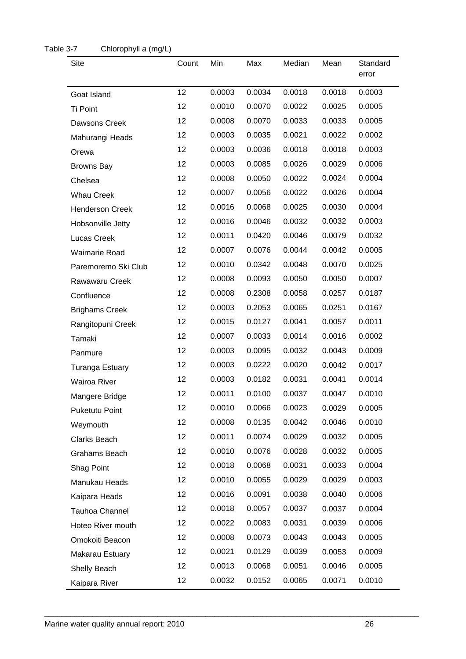| <b>Site</b>            | Count           | Min    | Max    | Median | Mean   | Standard<br>error |
|------------------------|-----------------|--------|--------|--------|--------|-------------------|
| Goat Island            | 12              | 0.0003 | 0.0034 | 0.0018 | 0.0018 | 0.0003            |
| Ti Point               | 12              | 0.0010 | 0.0070 | 0.0022 | 0.0025 | 0.0005            |
| Dawsons Creek          | 12              | 0.0008 | 0.0070 | 0.0033 | 0.0033 | 0.0005            |
| Mahurangi Heads        | 12              | 0.0003 | 0.0035 | 0.0021 | 0.0022 | 0.0002            |
| Orewa                  | 12              | 0.0003 | 0.0036 | 0.0018 | 0.0018 | 0.0003            |
| <b>Browns Bay</b>      | 12              | 0.0003 | 0.0085 | 0.0026 | 0.0029 | 0.0006            |
| Chelsea                | 12              | 0.0008 | 0.0050 | 0.0022 | 0.0024 | 0.0004            |
| <b>Whau Creek</b>      | 12              | 0.0007 | 0.0056 | 0.0022 | 0.0026 | 0.0004            |
| <b>Henderson Creek</b> | 12              | 0.0016 | 0.0068 | 0.0025 | 0.0030 | 0.0004            |
| Hobsonville Jetty      | 12              | 0.0016 | 0.0046 | 0.0032 | 0.0032 | 0.0003            |
| Lucas Creek            | 12 <sub>2</sub> | 0.0011 | 0.0420 | 0.0046 | 0.0079 | 0.0032            |
| <b>Waimarie Road</b>   | 12              | 0.0007 | 0.0076 | 0.0044 | 0.0042 | 0.0005            |
| Paremoremo Ski Club    | 12 <sub>2</sub> | 0.0010 | 0.0342 | 0.0048 | 0.0070 | 0.0025            |
| Rawawaru Creek         | 12              | 0.0008 | 0.0093 | 0.0050 | 0.0050 | 0.0007            |
| Confluence             | 12              | 0.0008 | 0.2308 | 0.0058 | 0.0257 | 0.0187            |
| <b>Brighams Creek</b>  | 12              | 0.0003 | 0.2053 | 0.0065 | 0.0251 | 0.0167            |
| Rangitopuni Creek      | 12              | 0.0015 | 0.0127 | 0.0041 | 0.0057 | 0.0011            |
| Tamaki                 | 12              | 0.0007 | 0.0033 | 0.0014 | 0.0016 | 0.0002            |
| Panmure                | 12              | 0.0003 | 0.0095 | 0.0032 | 0.0043 | 0.0009            |
| <b>Turanga Estuary</b> | 12              | 0.0003 | 0.0222 | 0.0020 | 0.0042 | 0.0017            |
| <b>Wairoa River</b>    | 12              | 0.0003 | 0.0182 | 0.0031 | 0.0041 | 0.0014            |
| Mangere Bridge         | 12              | 0.0011 | 0.0100 | 0.0037 | 0.0047 | 0.0010            |
| Puketutu Point         | 12              | 0.0010 | 0.0066 | 0.0023 | 0.0029 | 0.0005            |
| Weymouth               | 12              | 0.0008 | 0.0135 | 0.0042 | 0.0046 | 0.0010            |
| Clarks Beach           | 12              | 0.0011 | 0.0074 | 0.0029 | 0.0032 | 0.0005            |
| Grahams Beach          | 12              | 0.0010 | 0.0076 | 0.0028 | 0.0032 | 0.0005            |
| Shag Point             | 12              | 0.0018 | 0.0068 | 0.0031 | 0.0033 | 0.0004            |
| Manukau Heads          | 12              | 0.0010 | 0.0055 | 0.0029 | 0.0029 | 0.0003            |
| Kaipara Heads          | 12              | 0.0016 | 0.0091 | 0.0038 | 0.0040 | 0.0006            |
| Tauhoa Channel         | 12 <sub>2</sub> | 0.0018 | 0.0057 | 0.0037 | 0.0037 | 0.0004            |
| Hoteo River mouth      | 12              | 0.0022 | 0.0083 | 0.0031 | 0.0039 | 0.0006            |
| Omokoiti Beacon        | 12              | 0.0008 | 0.0073 | 0.0043 | 0.0043 | 0.0005            |
| Makarau Estuary        | 12              | 0.0021 | 0.0129 | 0.0039 | 0.0053 | 0.0009            |
| Shelly Beach           | 12              | 0.0013 | 0.0068 | 0.0051 | 0.0046 | 0.0005            |
| Kaipara River          | 12              | 0.0032 | 0.0152 | 0.0065 | 0.0071 | 0.0010            |

#### <span id="page-28-0"></span>Table 3-7 Chlorophyll *a* (mg/L)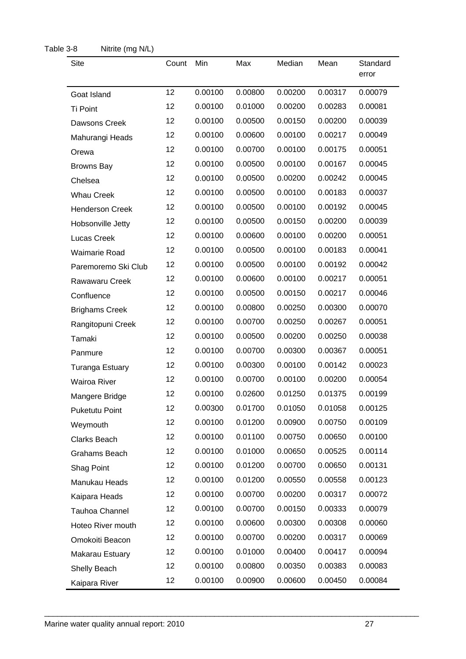| <b>Site</b>            | Count | Min     | Max     | Median  | Mean    | Standard<br>error |
|------------------------|-------|---------|---------|---------|---------|-------------------|
| Goat Island            | 12    | 0.00100 | 0.00800 | 0.00200 | 0.00317 | 0.00079           |
| Ti Point               | 12    | 0.00100 | 0.01000 | 0.00200 | 0.00283 | 0.00081           |
| Dawsons Creek          | 12    | 0.00100 | 0.00500 | 0.00150 | 0.00200 | 0.00039           |
| Mahurangi Heads        | 12    | 0.00100 | 0.00600 | 0.00100 | 0.00217 | 0.00049           |
| Orewa                  | 12    | 0.00100 | 0.00700 | 0.00100 | 0.00175 | 0.00051           |
| <b>Browns Bay</b>      | 12    | 0.00100 | 0.00500 | 0.00100 | 0.00167 | 0.00045           |
| Chelsea                | 12    | 0.00100 | 0.00500 | 0.00200 | 0.00242 | 0.00045           |
| <b>Whau Creek</b>      | 12    | 0.00100 | 0.00500 | 0.00100 | 0.00183 | 0.00037           |
| <b>Henderson Creek</b> | 12    | 0.00100 | 0.00500 | 0.00100 | 0.00192 | 0.00045           |
| Hobsonville Jetty      | 12    | 0.00100 | 0.00500 | 0.00150 | 0.00200 | 0.00039           |
| Lucas Creek            | 12    | 0.00100 | 0.00600 | 0.00100 | 0.00200 | 0.00051           |
| <b>Waimarie Road</b>   | 12    | 0.00100 | 0.00500 | 0.00100 | 0.00183 | 0.00041           |
| Paremoremo Ski Club    | 12    | 0.00100 | 0.00500 | 0.00100 | 0.00192 | 0.00042           |
| Rawawaru Creek         | 12    | 0.00100 | 0.00600 | 0.00100 | 0.00217 | 0.00051           |
| Confluence             | 12    | 0.00100 | 0.00500 | 0.00150 | 0.00217 | 0.00046           |
| <b>Brighams Creek</b>  | 12    | 0.00100 | 0.00800 | 0.00250 | 0.00300 | 0.00070           |
| Rangitopuni Creek      | 12    | 0.00100 | 0.00700 | 0.00250 | 0.00267 | 0.00051           |
| Tamaki                 | 12    | 0.00100 | 0.00500 | 0.00200 | 0.00250 | 0.00038           |
| Panmure                | 12    | 0.00100 | 0.00700 | 0.00300 | 0.00367 | 0.00051           |
| <b>Turanga Estuary</b> | 12    | 0.00100 | 0.00300 | 0.00100 | 0.00142 | 0.00023           |
| Wairoa River           | 12    | 0.00100 | 0.00700 | 0.00100 | 0.00200 | 0.00054           |
| Mangere Bridge         | 12    | 0.00100 | 0.02600 | 0.01250 | 0.01375 | 0.00199           |
| <b>Puketutu Point</b>  | 12    | 0.00300 | 0.01700 | 0.01050 | 0.01058 | 0.00125           |
| Weymouth               | 12    | 0.00100 | 0.01200 | 0.00900 | 0.00750 | 0.00109           |
| Clarks Beach           | 12    | 0.00100 | 0.01100 | 0.00750 | 0.00650 | 0.00100           |
| Grahams Beach          | 12    | 0.00100 | 0.01000 | 0.00650 | 0.00525 | 0.00114           |
| Shag Point             | 12    | 0.00100 | 0.01200 | 0.00700 | 0.00650 | 0.00131           |
| Manukau Heads          | 12    | 0.00100 | 0.01200 | 0.00550 | 0.00558 | 0.00123           |
| Kaipara Heads          | 12    | 0.00100 | 0.00700 | 0.00200 | 0.00317 | 0.00072           |
| <b>Tauhoa Channel</b>  | 12    | 0.00100 | 0.00700 | 0.00150 | 0.00333 | 0.00079           |
| Hoteo River mouth      | 12    | 0.00100 | 0.00600 | 0.00300 | 0.00308 | 0.00060           |
| Omokoiti Beacon        | 12    | 0.00100 | 0.00700 | 0.00200 | 0.00317 | 0.00069           |
| Makarau Estuary        | 12    | 0.00100 | 0.01000 | 0.00400 | 0.00417 | 0.00094           |
| Shelly Beach           | 12    | 0.00100 | 0.00800 | 0.00350 | 0.00383 | 0.00083           |
| Kaipara River          | 12    | 0.00100 | 0.00900 | 0.00600 | 0.00450 | 0.00084           |

#### <span id="page-29-0"></span>Table 3-8 Nitrite (mg N/L)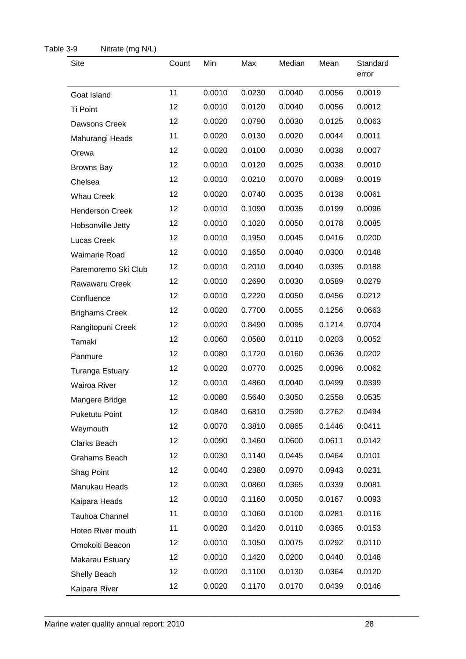<span id="page-30-0"></span>

| <b>Site</b>            | Count | Min    | Max    | Median | Mean   | Standard<br>error |
|------------------------|-------|--------|--------|--------|--------|-------------------|
| Goat Island            | 11    | 0.0010 | 0.0230 | 0.0040 | 0.0056 | 0.0019            |
| Ti Point               | 12    | 0.0010 | 0.0120 | 0.0040 | 0.0056 | 0.0012            |
| Dawsons Creek          | 12    | 0.0020 | 0.0790 | 0.0030 | 0.0125 | 0.0063            |
| Mahurangi Heads        | 11    | 0.0020 | 0.0130 | 0.0020 | 0.0044 | 0.0011            |
| Orewa                  | 12    | 0.0020 | 0.0100 | 0.0030 | 0.0038 | 0.0007            |
| <b>Browns Bay</b>      | 12    | 0.0010 | 0.0120 | 0.0025 | 0.0038 | 0.0010            |
| Chelsea                | 12    | 0.0010 | 0.0210 | 0.0070 | 0.0089 | 0.0019            |
| <b>Whau Creek</b>      | 12    | 0.0020 | 0.0740 | 0.0035 | 0.0138 | 0.0061            |
| <b>Henderson Creek</b> | 12    | 0.0010 | 0.1090 | 0.0035 | 0.0199 | 0.0096            |
| Hobsonville Jetty      | 12    | 0.0010 | 0.1020 | 0.0050 | 0.0178 | 0.0085            |
| Lucas Creek            | 12    | 0.0010 | 0.1950 | 0.0045 | 0.0416 | 0.0200            |
| Waimarie Road          | 12    | 0.0010 | 0.1650 | 0.0040 | 0.0300 | 0.0148            |
| Paremoremo Ski Club    | 12    | 0.0010 | 0.2010 | 0.0040 | 0.0395 | 0.0188            |
| Rawawaru Creek         | 12    | 0.0010 | 0.2690 | 0.0030 | 0.0589 | 0.0279            |
| Confluence             | 12    | 0.0010 | 0.2220 | 0.0050 | 0.0456 | 0.0212            |
| <b>Brighams Creek</b>  | 12    | 0.0020 | 0.7700 | 0.0055 | 0.1256 | 0.0663            |
| Rangitopuni Creek      | 12    | 0.0020 | 0.8490 | 0.0095 | 0.1214 | 0.0704            |
| Tamaki                 | 12    | 0.0060 | 0.0580 | 0.0110 | 0.0203 | 0.0052            |
| Panmure                | 12    | 0.0080 | 0.1720 | 0.0160 | 0.0636 | 0.0202            |
| <b>Turanga Estuary</b> | 12    | 0.0020 | 0.0770 | 0.0025 | 0.0096 | 0.0062            |
| <b>Wairoa River</b>    | 12    | 0.0010 | 0.4860 | 0.0040 | 0.0499 | 0.0399            |
| Mangere Bridge         | 12    | 0.0080 | 0.5640 | 0.3050 | 0.2558 | 0.0535            |
| <b>Puketutu Point</b>  | 12    | 0.0840 | 0.6810 | 0.2590 | 0.2762 | 0.0494            |
| Weymouth               | 12    | 0.0070 | 0.3810 | 0.0865 | 0.1446 | 0.0411            |
| Clarks Beach           | 12    | 0.0090 | 0.1460 | 0.0600 | 0.0611 | 0.0142            |
| Grahams Beach          | 12    | 0.0030 | 0.1140 | 0.0445 | 0.0464 | 0.0101            |
| Shag Point             | 12    | 0.0040 | 0.2380 | 0.0970 | 0.0943 | 0.0231            |
| Manukau Heads          | 12    | 0.0030 | 0.0860 | 0.0365 | 0.0339 | 0.0081            |
| Kaipara Heads          | 12    | 0.0010 | 0.1160 | 0.0050 | 0.0167 | 0.0093            |
| Tauhoa Channel         | 11    | 0.0010 | 0.1060 | 0.0100 | 0.0281 | 0.0116            |
| Hoteo River mouth      | 11    | 0.0020 | 0.1420 | 0.0110 | 0.0365 | 0.0153            |
| Omokoiti Beacon        | 12    | 0.0010 | 0.1050 | 0.0075 | 0.0292 | 0.0110            |
| Makarau Estuary        | 12    | 0.0010 | 0.1420 | 0.0200 | 0.0440 | 0.0148            |
| Shelly Beach           | 12    | 0.0020 | 0.1100 | 0.0130 | 0.0364 | 0.0120            |
| Kaipara River          | 12    | 0.0020 | 0.1170 | 0.0170 | 0.0439 | 0.0146            |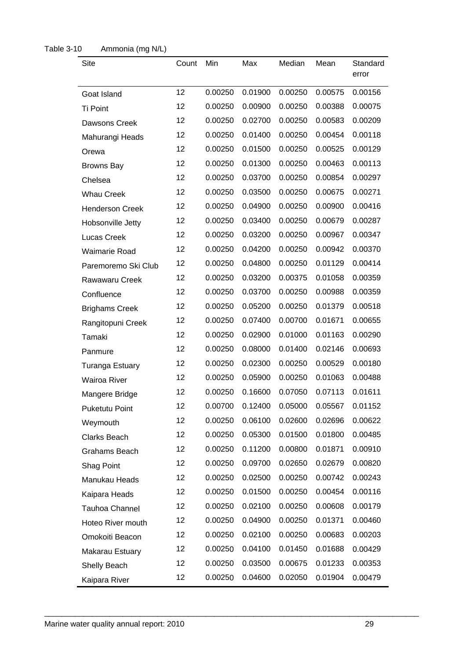| Site                   | Count | Min     | Max     | Median  | Mean    | Standard<br>error |
|------------------------|-------|---------|---------|---------|---------|-------------------|
| Goat Island            | 12    | 0.00250 | 0.01900 | 0.00250 | 0.00575 | 0.00156           |
| <b>Ti Point</b>        | 12    | 0.00250 | 0.00900 | 0.00250 | 0.00388 | 0.00075           |
| Dawsons Creek          | 12    | 0.00250 | 0.02700 | 0.00250 | 0.00583 | 0.00209           |
| Mahurangi Heads        | 12    | 0.00250 | 0.01400 | 0.00250 | 0.00454 | 0.00118           |
| Orewa                  | 12    | 0.00250 | 0.01500 | 0.00250 | 0.00525 | 0.00129           |
| <b>Browns Bay</b>      | 12    | 0.00250 | 0.01300 | 0.00250 | 0.00463 | 0.00113           |
| Chelsea                | 12    | 0.00250 | 0.03700 | 0.00250 | 0.00854 | 0.00297           |
| <b>Whau Creek</b>      | 12    | 0.00250 | 0.03500 | 0.00250 | 0.00675 | 0.00271           |
| <b>Henderson Creek</b> | 12    | 0.00250 | 0.04900 | 0.00250 | 0.00900 | 0.00416           |
| Hobsonville Jetty      | 12    | 0.00250 | 0.03400 | 0.00250 | 0.00679 | 0.00287           |
| Lucas Creek            | 12    | 0.00250 | 0.03200 | 0.00250 | 0.00967 | 0.00347           |
| <b>Waimarie Road</b>   | 12    | 0.00250 | 0.04200 | 0.00250 | 0.00942 | 0.00370           |
| Paremoremo Ski Club    | 12    | 0.00250 | 0.04800 | 0.00250 | 0.01129 | 0.00414           |
| Rawawaru Creek         | 12    | 0.00250 | 0.03200 | 0.00375 | 0.01058 | 0.00359           |
| Confluence             | 12    | 0.00250 | 0.03700 | 0.00250 | 0.00988 | 0.00359           |
| <b>Brighams Creek</b>  | 12    | 0.00250 | 0.05200 | 0.00250 | 0.01379 | 0.00518           |
| Rangitopuni Creek      | 12    | 0.00250 | 0.07400 | 0.00700 | 0.01671 | 0.00655           |
| Tamaki                 | 12    | 0.00250 | 0.02900 | 0.01000 | 0.01163 | 0.00290           |
| Panmure                | 12    | 0.00250 | 0.08000 | 0.01400 | 0.02146 | 0.00693           |
| <b>Turanga Estuary</b> | 12    | 0.00250 | 0.02300 | 0.00250 | 0.00529 | 0.00180           |
| <b>Wairoa River</b>    | 12    | 0.00250 | 0.05900 | 0.00250 | 0.01063 | 0.00488           |
| Mangere Bridge         | 12    | 0.00250 | 0.16600 | 0.07050 | 0.07113 | 0.01611           |
| <b>Puketutu Point</b>  | 12    | 0.00700 | 0.12400 | 0.05000 | 0.05567 | 0.01152           |
| Weymouth               | 12    | 0.00250 | 0.06100 | 0.02600 | 0.02696 | 0.00622           |
| <b>Clarks Beach</b>    | 12    | 0.00250 | 0.05300 | 0.01500 | 0.01800 | 0.00485           |
| Grahams Beach          | 12    | 0.00250 | 0.11200 | 0.00800 | 0.01871 | 0.00910           |
| Shag Point             | 12    | 0.00250 | 0.09700 | 0.02650 | 0.02679 | 0.00820           |
| Manukau Heads          | 12    | 0.00250 | 0.02500 | 0.00250 | 0.00742 | 0.00243           |
| Kaipara Heads          | 12    | 0.00250 | 0.01500 | 0.00250 | 0.00454 | 0.00116           |
| Tauhoa Channel         | 12    | 0.00250 | 0.02100 | 0.00250 | 0.00608 | 0.00179           |
| Hoteo River mouth      | 12    | 0.00250 | 0.04900 | 0.00250 | 0.01371 | 0.00460           |
| Omokoiti Beacon        | 12    | 0.00250 | 0.02100 | 0.00250 | 0.00683 | 0.00203           |
| Makarau Estuary        | 12    | 0.00250 | 0.04100 | 0.01450 | 0.01688 | 0.00429           |
| Shelly Beach           | 12    | 0.00250 | 0.03500 | 0.00675 | 0.01233 | 0.00353           |
| Kaipara River          | 12    | 0.00250 | 0.04600 | 0.02050 | 0.01904 | 0.00479           |

#### <span id="page-31-0"></span>Table 3-10 Ammonia (mg N/L)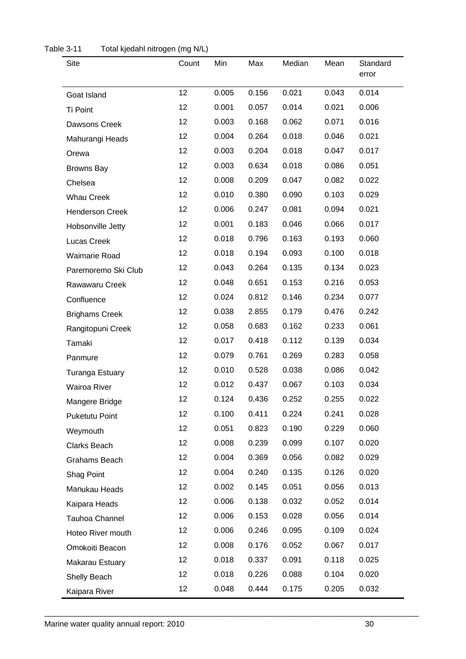| <b>Site</b>            | Count           | Min   | Max   | Median | Mean  | Standard<br>error |
|------------------------|-----------------|-------|-------|--------|-------|-------------------|
| Goat Island            | 12              | 0.005 | 0.156 | 0.021  | 0.043 | 0.014             |
| Ti Point               | 12 <sub>2</sub> | 0.001 | 0.057 | 0.014  | 0.021 | 0.006             |
| Dawsons Creek          | 12 <sub>2</sub> | 0.003 | 0.168 | 0.062  | 0.071 | 0.016             |
| Mahurangi Heads        | 12 <sub>2</sub> | 0.004 | 0.264 | 0.018  | 0.046 | 0.021             |
| Orewa                  | 12 <sub>2</sub> | 0.003 | 0.204 | 0.018  | 0.047 | 0.017             |
| <b>Browns Bay</b>      | 12 <sub>2</sub> | 0.003 | 0.634 | 0.018  | 0.086 | 0.051             |
| Chelsea                | 12 <sup>°</sup> | 0.008 | 0.209 | 0.047  | 0.082 | 0.022             |
| <b>Whau Creek</b>      | 12 <sub>2</sub> | 0.010 | 0.380 | 0.090  | 0.103 | 0.029             |
| <b>Henderson Creek</b> | 12 <sub>2</sub> | 0.006 | 0.247 | 0.081  | 0.094 | 0.021             |
| Hobsonville Jetty      | 12              | 0.001 | 0.183 | 0.046  | 0.066 | 0.017             |
| Lucas Creek            | 12 <sub>2</sub> | 0.018 | 0.796 | 0.163  | 0.193 | 0.060             |
| Waimarie Road          | 12 <sub>2</sub> | 0.018 | 0.194 | 0.093  | 0.100 | 0.018             |
| Paremoremo Ski Club    | 12 <sub>2</sub> | 0.043 | 0.264 | 0.135  | 0.134 | 0.023             |
| Rawawaru Creek         | 12 <sub>2</sub> | 0.048 | 0.651 | 0.153  | 0.216 | 0.053             |
| Confluence             | 12 <sub>2</sub> | 0.024 | 0.812 | 0.146  | 0.234 | 0.077             |
| <b>Brighams Creek</b>  | 12 <sup>2</sup> | 0.038 | 2.855 | 0.179  | 0.476 | 0.242             |
| Rangitopuni Creek      | 12 <sub>2</sub> | 0.058 | 0.683 | 0.162  | 0.233 | 0.061             |
| Tamaki                 | 12 <sub>2</sub> | 0.017 | 0.418 | 0.112  | 0.139 | 0.034             |
| Panmure                | 12 <sub>2</sub> | 0.079 | 0.761 | 0.269  | 0.283 | 0.058             |
| Turanga Estuary        | 12 <sub>2</sub> | 0.010 | 0.528 | 0.038  | 0.086 | 0.042             |
| Wairoa River           | 12 <sub>2</sub> | 0.012 | 0.437 | 0.067  | 0.103 | 0.034             |
| Mangere Bridge         | 12              | 0.124 | 0.436 | 0.252  | 0.255 | 0.022             |
| <b>Puketutu Point</b>  | 12 <sub>2</sub> | 0.100 | 0.411 | 0.224  | 0.241 | 0.028             |
| Weymouth               | 12 <sub>2</sub> | 0.051 | 0.823 | 0.190  | 0.229 | 0.060             |
| Clarks Beach           | 12 <sub>2</sub> | 0.008 | 0.239 | 0.099  | 0.107 | 0.020             |
| Grahams Beach          | 12 <sub>2</sub> | 0.004 | 0.369 | 0.056  | 0.082 | 0.029             |
| Shag Point             | 12 <sub>2</sub> | 0.004 | 0.240 | 0.135  | 0.126 | 0.020             |
| Manukau Heads          | 12 <sub>2</sub> | 0.002 | 0.145 | 0.051  | 0.056 | 0.013             |
| Kaipara Heads          | 12 <sub>2</sub> | 0.006 | 0.138 | 0.032  | 0.052 | 0.014             |
| Tauhoa Channel         | 12 <sub>2</sub> | 0.006 | 0.153 | 0.028  | 0.056 | 0.014             |
| Hoteo River mouth      | 12 <sub>2</sub> | 0.006 | 0.246 | 0.095  | 0.109 | 0.024             |
| Omokoiti Beacon        | 12 <sub>2</sub> | 0.008 | 0.176 | 0.052  | 0.067 | 0.017             |
| Makarau Estuary        | 12 <sub>2</sub> | 0.018 | 0.337 | 0.091  | 0.118 | 0.025             |
| Shelly Beach           | 12              | 0.018 | 0.226 | 0.088  | 0.104 | 0.020             |
| Kaipara River          | 12              | 0.048 | 0.444 | 0.175  | 0.205 | 0.032             |

<span id="page-32-0"></span>Table 3-11 Total kjedahl nitrogen (mg N/L)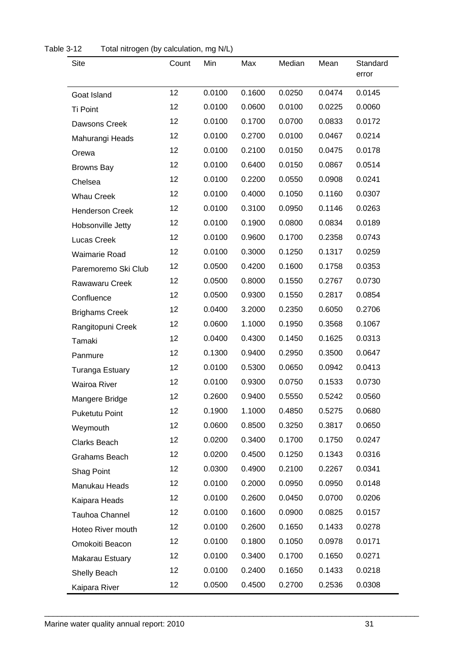| Site                   | Count           | Min    | Max    | Median | Mean   | Standard<br>error |
|------------------------|-----------------|--------|--------|--------|--------|-------------------|
| Goat Island            | 12              | 0.0100 | 0.1600 | 0.0250 | 0.0474 | 0.0145            |
| Ti Point               | 12              | 0.0100 | 0.0600 | 0.0100 | 0.0225 | 0.0060            |
| Dawsons Creek          | 12              | 0.0100 | 0.1700 | 0.0700 | 0.0833 | 0.0172            |
| Mahurangi Heads        | 12              | 0.0100 | 0.2700 | 0.0100 | 0.0467 | 0.0214            |
| Orewa                  | 12              | 0.0100 | 0.2100 | 0.0150 | 0.0475 | 0.0178            |
| <b>Browns Bay</b>      | 12 <sub>2</sub> | 0.0100 | 0.6400 | 0.0150 | 0.0867 | 0.0514            |
| Chelsea                | 12              | 0.0100 | 0.2200 | 0.0550 | 0.0908 | 0.0241            |
| <b>Whau Creek</b>      | 12              | 0.0100 | 0.4000 | 0.1050 | 0.1160 | 0.0307            |
| <b>Henderson Creek</b> | 12 <sup>2</sup> | 0.0100 | 0.3100 | 0.0950 | 0.1146 | 0.0263            |
| Hobsonville Jetty      | 12 <sup>2</sup> | 0.0100 | 0.1900 | 0.0800 | 0.0834 | 0.0189            |
| Lucas Creek            | 12              | 0.0100 | 0.9600 | 0.1700 | 0.2358 | 0.0743            |
| <b>Waimarie Road</b>   | 12              | 0.0100 | 0.3000 | 0.1250 | 0.1317 | 0.0259            |
| Paremoremo Ski Club    | 12 <sup>2</sup> | 0.0500 | 0.4200 | 0.1600 | 0.1758 | 0.0353            |
| Rawawaru Creek         | 12              | 0.0500 | 0.8000 | 0.1550 | 0.2767 | 0.0730            |
| Confluence             | 12 <sup>2</sup> | 0.0500 | 0.9300 | 0.1550 | 0.2817 | 0.0854            |
| <b>Brighams Creek</b>  | 12 <sup>2</sup> | 0.0400 | 3.2000 | 0.2350 | 0.6050 | 0.2706            |
| Rangitopuni Creek      | 12 <sub>2</sub> | 0.0600 | 1.1000 | 0.1950 | 0.3568 | 0.1067            |
| Tamaki                 | 12              | 0.0400 | 0.4300 | 0.1450 | 0.1625 | 0.0313            |
| Panmure                | 12 <sub>2</sub> | 0.1300 | 0.9400 | 0.2950 | 0.3500 | 0.0647            |
| <b>Turanga Estuary</b> | 12 <sup>2</sup> | 0.0100 | 0.5300 | 0.0650 | 0.0942 | 0.0413            |
| Wairoa River           | 12 <sup>2</sup> | 0.0100 | 0.9300 | 0.0750 | 0.1533 | 0.0730            |
| Mangere Bridge         | 12 <sub>2</sub> | 0.2600 | 0.9400 | 0.5550 | 0.5242 | 0.0560            |
| <b>Puketutu Point</b>  | 12              | 0.1900 | 1.1000 | 0.4850 | 0.5275 | 0.0680            |
| Weymouth               | 12              | 0.0600 | 0.8500 | 0.3250 | 0.3817 | 0.0650            |
| Clarks Beach           | 12 <sub>2</sub> | 0.0200 | 0.3400 | 0.1700 | 0.1750 | 0.0247            |
| Grahams Beach          | 12              | 0.0200 | 0.4500 | 0.1250 | 0.1343 | 0.0316            |
| Shag Point             | 12 <sub>2</sub> | 0.0300 | 0.4900 | 0.2100 | 0.2267 | 0.0341            |
| Manukau Heads          | 12 <sub>2</sub> | 0.0100 | 0.2000 | 0.0950 | 0.0950 | 0.0148            |
| Kaipara Heads          | $12 \,$         | 0.0100 | 0.2600 | 0.0450 | 0.0700 | 0.0206            |
| Tauhoa Channel         | 12 <sub>2</sub> | 0.0100 | 0.1600 | 0.0900 | 0.0825 | 0.0157            |
| Hoteo River mouth      | 12              | 0.0100 | 0.2600 | 0.1650 | 0.1433 | 0.0278            |
| Omokoiti Beacon        | 12              | 0.0100 | 0.1800 | 0.1050 | 0.0978 | 0.0171            |
| Makarau Estuary        | 12 <sub>2</sub> | 0.0100 | 0.3400 | 0.1700 | 0.1650 | 0.0271            |
| Shelly Beach           | 12 <sub>2</sub> | 0.0100 | 0.2400 | 0.1650 | 0.1433 | 0.0218            |
| Kaipara River          | 12 <sub>2</sub> | 0.0500 | 0.4500 | 0.2700 | 0.2536 | 0.0308            |

<span id="page-33-0"></span>Table 3-12 Total nitrogen (by calculation, mg N/L)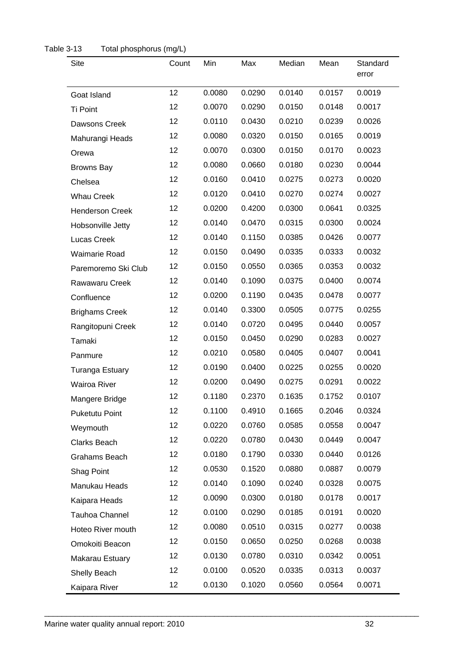| Site                   | Count           | Min    | Max    | Median | Mean   | Standard<br>error |
|------------------------|-----------------|--------|--------|--------|--------|-------------------|
| Goat Island            | 12 <sup>°</sup> | 0.0080 | 0.0290 | 0.0140 | 0.0157 | 0.0019            |
| Ti Point               | 12              | 0.0070 | 0.0290 | 0.0150 | 0.0148 | 0.0017            |
| Dawsons Creek          | 12              | 0.0110 | 0.0430 | 0.0210 | 0.0239 | 0.0026            |
| Mahurangi Heads        | 12              | 0.0080 | 0.0320 | 0.0150 | 0.0165 | 0.0019            |
| Orewa                  | 12              | 0.0070 | 0.0300 | 0.0150 | 0.0170 | 0.0023            |
| <b>Browns Bay</b>      | 12              | 0.0080 | 0.0660 | 0.0180 | 0.0230 | 0.0044            |
| Chelsea                | 12              | 0.0160 | 0.0410 | 0.0275 | 0.0273 | 0.0020            |
| <b>Whau Creek</b>      | 12              | 0.0120 | 0.0410 | 0.0270 | 0.0274 | 0.0027            |
| <b>Henderson Creek</b> | 12              | 0.0200 | 0.4200 | 0.0300 | 0.0641 | 0.0325            |
| Hobsonville Jetty      | 12 <sup>2</sup> | 0.0140 | 0.0470 | 0.0315 | 0.0300 | 0.0024            |
| Lucas Creek            | 12              | 0.0140 | 0.1150 | 0.0385 | 0.0426 | 0.0077            |
| <b>Waimarie Road</b>   | 12              | 0.0150 | 0.0490 | 0.0335 | 0.0333 | 0.0032            |
| Paremoremo Ski Club    | 12              | 0.0150 | 0.0550 | 0.0365 | 0.0353 | 0.0032            |
| Rawawaru Creek         | 12              | 0.0140 | 0.1090 | 0.0375 | 0.0400 | 0.0074            |
| Confluence             | 12              | 0.0200 | 0.1190 | 0.0435 | 0.0478 | 0.0077            |
| <b>Brighams Creek</b>  | 12              | 0.0140 | 0.3300 | 0.0505 | 0.0775 | 0.0255            |
| Rangitopuni Creek      | 12              | 0.0140 | 0.0720 | 0.0495 | 0.0440 | 0.0057            |
| Tamaki                 | 12              | 0.0150 | 0.0450 | 0.0290 | 0.0283 | 0.0027            |
| Panmure                | 12              | 0.0210 | 0.0580 | 0.0405 | 0.0407 | 0.0041            |
| <b>Turanga Estuary</b> | 12              | 0.0190 | 0.0400 | 0.0225 | 0.0255 | 0.0020            |
| Wairoa River           | 12 <sup>2</sup> | 0.0200 | 0.0490 | 0.0275 | 0.0291 | 0.0022            |
| Mangere Bridge         | 12              | 0.1180 | 0.2370 | 0.1635 | 0.1752 | 0.0107            |
| <b>Puketutu Point</b>  | 12              | 0.1100 | 0.4910 | 0.1665 | 0.2046 | 0.0324            |
| Weymouth               | 12              | 0.0220 | 0.0760 | 0.0585 | 0.0558 | 0.0047            |
| Clarks Beach           | 12              | 0.0220 | 0.0780 | 0.0430 | 0.0449 | 0.0047            |
| Grahams Beach          | 12              | 0.0180 | 0.1790 | 0.0330 | 0.0440 | 0.0126            |
| Shag Point             | 12              | 0.0530 | 0.1520 | 0.0880 | 0.0887 | 0.0079            |
| Manukau Heads          | 12              | 0.0140 | 0.1090 | 0.0240 | 0.0328 | 0.0075            |
| Kaipara Heads          | 12              | 0.0090 | 0.0300 | 0.0180 | 0.0178 | 0.0017            |
| Tauhoa Channel         | 12              | 0.0100 | 0.0290 | 0.0185 | 0.0191 | 0.0020            |
| Hoteo River mouth      | 12              | 0.0080 | 0.0510 | 0.0315 | 0.0277 | 0.0038            |
| Omokoiti Beacon        | 12              | 0.0150 | 0.0650 | 0.0250 | 0.0268 | 0.0038            |
| Makarau Estuary        | 12              | 0.0130 | 0.0780 | 0.0310 | 0.0342 | 0.0051            |
| Shelly Beach           | 12              | 0.0100 | 0.0520 | 0.0335 | 0.0313 | 0.0037            |
| Kaipara River          | 12              | 0.0130 | 0.1020 | 0.0560 | 0.0564 | 0.0071            |

#### <span id="page-34-0"></span>Table 3-13 Total phosphorus (mg/L)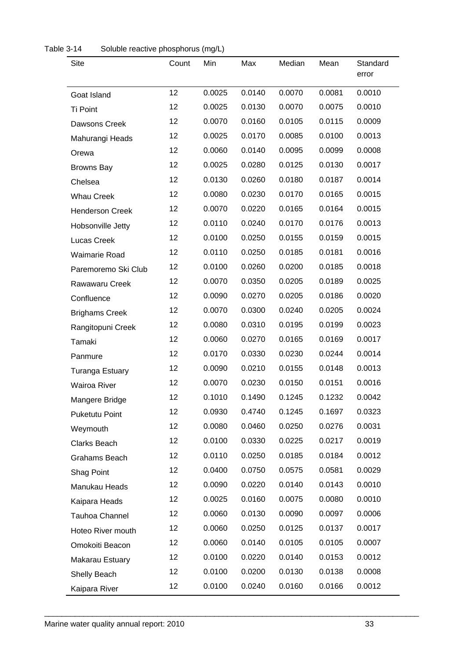| <b>Site</b>            | Count           | Min    | Max    | Median | Mean   | Standard<br>error |
|------------------------|-----------------|--------|--------|--------|--------|-------------------|
| Goat Island            | 12              | 0.0025 | 0.0140 | 0.0070 | 0.0081 | 0.0010            |
| Ti Point               | 12              | 0.0025 | 0.0130 | 0.0070 | 0.0075 | 0.0010            |
| Dawsons Creek          | 12              | 0.0070 | 0.0160 | 0.0105 | 0.0115 | 0.0009            |
| Mahurangi Heads        | 12              | 0.0025 | 0.0170 | 0.0085 | 0.0100 | 0.0013            |
| Orewa                  | 12              | 0.0060 | 0.0140 | 0.0095 | 0.0099 | 0.0008            |
| <b>Browns Bay</b>      | 12              | 0.0025 | 0.0280 | 0.0125 | 0.0130 | 0.0017            |
| Chelsea                | 12              | 0.0130 | 0.0260 | 0.0180 | 0.0187 | 0.0014            |
| <b>Whau Creek</b>      | 12              | 0.0080 | 0.0230 | 0.0170 | 0.0165 | 0.0015            |
| <b>Henderson Creek</b> | 12              | 0.0070 | 0.0220 | 0.0165 | 0.0164 | 0.0015            |
| Hobsonville Jetty      | 12              | 0.0110 | 0.0240 | 0.0170 | 0.0176 | 0.0013            |
| Lucas Creek            | 12              | 0.0100 | 0.0250 | 0.0155 | 0.0159 | 0.0015            |
| <b>Waimarie Road</b>   | 12              | 0.0110 | 0.0250 | 0.0185 | 0.0181 | 0.0016            |
| Paremoremo Ski Club    | 12              | 0.0100 | 0.0260 | 0.0200 | 0.0185 | 0.0018            |
| Rawawaru Creek         | 12              | 0.0070 | 0.0350 | 0.0205 | 0.0189 | 0.0025            |
| Confluence             | 12              | 0.0090 | 0.0270 | 0.0205 | 0.0186 | 0.0020            |
| <b>Brighams Creek</b>  | 12              | 0.0070 | 0.0300 | 0.0240 | 0.0205 | 0.0024            |
| Rangitopuni Creek      | 12              | 0.0080 | 0.0310 | 0.0195 | 0.0199 | 0.0023            |
| Tamaki                 | 12              | 0.0060 | 0.0270 | 0.0165 | 0.0169 | 0.0017            |
| Panmure                | 12              | 0.0170 | 0.0330 | 0.0230 | 0.0244 | 0.0014            |
| <b>Turanga Estuary</b> | 12              | 0.0090 | 0.0210 | 0.0155 | 0.0148 | 0.0013            |
| <b>Wairoa River</b>    | 12              | 0.0070 | 0.0230 | 0.0150 | 0.0151 | 0.0016            |
| Mangere Bridge         | 12              | 0.1010 | 0.1490 | 0.1245 | 0.1232 | 0.0042            |
| <b>Puketutu Point</b>  | 12              | 0.0930 | 0.4740 | 0.1245 | 0.1697 | 0.0323            |
| Weymouth               | 12              | 0.0080 | 0.0460 | 0.0250 | 0.0276 | 0.0031            |
| Clarks Beach           | 12 <sub>2</sub> | 0.0100 | 0.0330 | 0.0225 | 0.0217 | 0.0019            |
| Grahams Beach          | 12 <sub>2</sub> | 0.0110 | 0.0250 | 0.0185 | 0.0184 | 0.0012            |
| Shag Point             | 12 <sub>2</sub> | 0.0400 | 0.0750 | 0.0575 | 0.0581 | 0.0029            |
| Manukau Heads          | 12 <sub>2</sub> | 0.0090 | 0.0220 | 0.0140 | 0.0143 | 0.0010            |
| Kaipara Heads          | 12 <sub>2</sub> | 0.0025 | 0.0160 | 0.0075 | 0.0080 | 0.0010            |
| Tauhoa Channel         | 12 <sub>2</sub> | 0.0060 | 0.0130 | 0.0090 | 0.0097 | 0.0006            |
| Hoteo River mouth      | 12 <sub>2</sub> | 0.0060 | 0.0250 | 0.0125 | 0.0137 | 0.0017            |
| Omokoiti Beacon        | 12              | 0.0060 | 0.0140 | 0.0105 | 0.0105 | 0.0007            |
| Makarau Estuary        | 12              | 0.0100 | 0.0220 | 0.0140 | 0.0153 | 0.0012            |
| Shelly Beach           | 12              | 0.0100 | 0.0200 | 0.0130 | 0.0138 | 0.0008            |
| Kaipara River          | 12 <sub>2</sub> | 0.0100 | 0.0240 | 0.0160 | 0.0166 | 0.0012            |

<span id="page-35-0"></span>

| Table 3-14 | Soluble reactive phosphorus (mg/L) |  |
|------------|------------------------------------|--|
|------------|------------------------------------|--|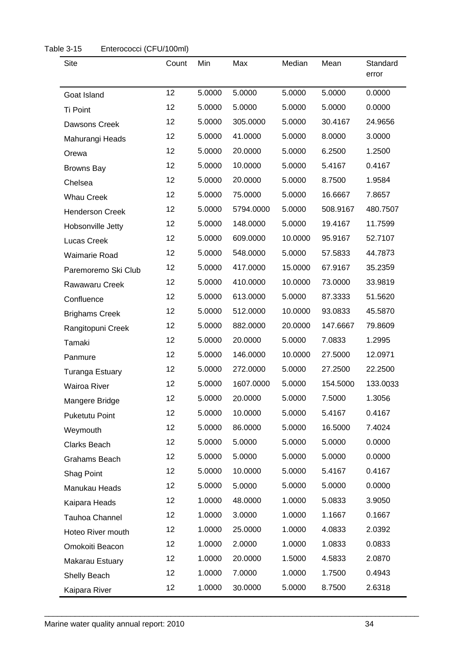| <b>Site</b>            | Count | Min    | Max       | Median  | Mean     | Standard<br>error |
|------------------------|-------|--------|-----------|---------|----------|-------------------|
| Goat Island            | 12    | 5.0000 | 5.0000    | 5.0000  | 5.0000   | 0.0000            |
| Ti Point               | 12    | 5.0000 | 5.0000    | 5.0000  | 5.0000   | 0.0000            |
| Dawsons Creek          | 12    | 5.0000 | 305.0000  | 5.0000  | 30.4167  | 24.9656           |
| Mahurangi Heads        | 12    | 5.0000 | 41.0000   | 5.0000  | 8.0000   | 3.0000            |
| Orewa                  | 12    | 5.0000 | 20.0000   | 5.0000  | 6.2500   | 1.2500            |
| <b>Browns Bay</b>      | 12    | 5.0000 | 10.0000   | 5.0000  | 5.4167   | 0.4167            |
| Chelsea                | 12    | 5.0000 | 20.0000   | 5.0000  | 8.7500   | 1.9584            |
| <b>Whau Creek</b>      | 12    | 5.0000 | 75.0000   | 5.0000  | 16.6667  | 7.8657            |
| <b>Henderson Creek</b> | 12    | 5.0000 | 5794.0000 | 5.0000  | 508.9167 | 480.7507          |
| Hobsonville Jetty      | 12    | 5.0000 | 148.0000  | 5.0000  | 19.4167  | 11.7599           |
| Lucas Creek            | 12    | 5.0000 | 609.0000  | 10.0000 | 95.9167  | 52.7107           |
| Waimarie Road          | 12    | 5.0000 | 548.0000  | 5.0000  | 57.5833  | 44.7873           |
| Paremoremo Ski Club    | 12    | 5.0000 | 417.0000  | 15.0000 | 67.9167  | 35.2359           |
| Rawawaru Creek         | 12    | 5.0000 | 410.0000  | 10.0000 | 73.0000  | 33.9819           |
| Confluence             | 12    | 5.0000 | 613.0000  | 5.0000  | 87.3333  | 51.5620           |
| <b>Brighams Creek</b>  | 12    | 5.0000 | 512.0000  | 10.0000 | 93.0833  | 45.5870           |
| Rangitopuni Creek      | 12    | 5.0000 | 882.0000  | 20.0000 | 147.6667 | 79.8609           |
| Tamaki                 | 12    | 5.0000 | 20.0000   | 5.0000  | 7.0833   | 1.2995            |
| Panmure                | 12    | 5.0000 | 146.0000  | 10.0000 | 27.5000  | 12.0971           |
| <b>Turanga Estuary</b> | 12    | 5.0000 | 272.0000  | 5.0000  | 27.2500  | 22.2500           |
| Wairoa River           | 12    | 5.0000 | 1607.0000 | 5.0000  | 154.5000 | 133.0033          |
| Mangere Bridge         | 12    | 5.0000 | 20.0000   | 5.0000  | 7.5000   | 1.3056            |
| Puketutu Point         | 12    | 5.0000 | 10.0000   | 5.0000  | 5.4167   | 0.4167            |
| Weymouth               | 12    | 5.0000 | 86.0000   | 5.0000  | 16.5000  | 7.4024            |
| Clarks Beach           | 12    | 5.0000 | 5.0000    | 5.0000  | 5.0000   | 0.0000            |
| Grahams Beach          | 12    | 5.0000 | 5.0000    | 5.0000  | 5.0000   | 0.0000            |
| Shag Point             | 12    | 5.0000 | 10.0000   | 5.0000  | 5.4167   | 0.4167            |
| Manukau Heads          | 12    | 5.0000 | 5.0000    | 5.0000  | 5.0000   | 0.0000            |
| Kaipara Heads          | 12    | 1.0000 | 48.0000   | 1.0000  | 5.0833   | 3.9050            |
| Tauhoa Channel         | 12    | 1.0000 | 3.0000    | 1.0000  | 1.1667   | 0.1667            |
| Hoteo River mouth      | 12    | 1.0000 | 25.0000   | 1.0000  | 4.0833   | 2.0392            |
| Omokoiti Beacon        | 12    | 1.0000 | 2.0000    | 1.0000  | 1.0833   | 0.0833            |
| Makarau Estuary        | 12    | 1.0000 | 20.0000   | 1.5000  | 4.5833   | 2.0870            |
| Shelly Beach           | 12    | 1.0000 | 7.0000    | 1.0000  | 1.7500   | 0.4943            |
| Kaipara River          | 12    | 1.0000 | 30.0000   | 5.0000  | 8.7500   | 2.6318            |

<span id="page-36-0"></span>Table 3-15 Enterococci (CFU/100ml)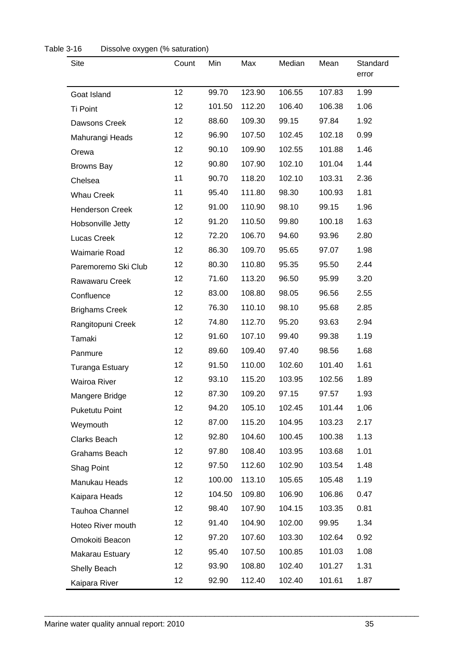| <b>Site</b>            | Count   | Min    | Max    | Median | Mean   | Standard<br>error |
|------------------------|---------|--------|--------|--------|--------|-------------------|
| Goat Island            | 12      | 99.70  | 123.90 | 106.55 | 107.83 | 1.99              |
| Ti Point               | 12      | 101.50 | 112.20 | 106.40 | 106.38 | 1.06              |
| Dawsons Creek          | 12      | 88.60  | 109.30 | 99.15  | 97.84  | 1.92              |
| Mahurangi Heads        | 12      | 96.90  | 107.50 | 102.45 | 102.18 | 0.99              |
| Orewa                  | 12      | 90.10  | 109.90 | 102.55 | 101.88 | 1.46              |
| <b>Browns Bay</b>      | 12      | 90.80  | 107.90 | 102.10 | 101.04 | 1.44              |
| Chelsea                | 11      | 90.70  | 118.20 | 102.10 | 103.31 | 2.36              |
| <b>Whau Creek</b>      | 11      | 95.40  | 111.80 | 98.30  | 100.93 | 1.81              |
| <b>Henderson Creek</b> | 12      | 91.00  | 110.90 | 98.10  | 99.15  | 1.96              |
| Hobsonville Jetty      | 12      | 91.20  | 110.50 | 99.80  | 100.18 | 1.63              |
| Lucas Creek            | 12      | 72.20  | 106.70 | 94.60  | 93.96  | 2.80              |
| <b>Waimarie Road</b>   | 12      | 86.30  | 109.70 | 95.65  | 97.07  | 1.98              |
| Paremoremo Ski Club    | 12      | 80.30  | 110.80 | 95.35  | 95.50  | 2.44              |
| Rawawaru Creek         | 12      | 71.60  | 113.20 | 96.50  | 95.99  | 3.20              |
| Confluence             | 12      | 83.00  | 108.80 | 98.05  | 96.56  | 2.55              |
| <b>Brighams Creek</b>  | 12      | 76.30  | 110.10 | 98.10  | 95.68  | 2.85              |
| Rangitopuni Creek      | 12      | 74.80  | 112.70 | 95.20  | 93.63  | 2.94              |
| Tamaki                 | 12      | 91.60  | 107.10 | 99.40  | 99.38  | 1.19              |
| Panmure                | 12      | 89.60  | 109.40 | 97.40  | 98.56  | 1.68              |
| <b>Turanga Estuary</b> | 12      | 91.50  | 110.00 | 102.60 | 101.40 | 1.61              |
| Wairoa River           | 12      | 93.10  | 115.20 | 103.95 | 102.56 | 1.89              |
| Mangere Bridge         | 12      | 87.30  | 109.20 | 97.15  | 97.57  | 1.93              |
| <b>Puketutu Point</b>  | 12      | 94.20  | 105.10 | 102.45 | 101.44 | 1.06              |
| Weymouth               | 12      | 87.00  | 115.20 | 104.95 | 103.23 | 2.17              |
| Clarks Beach           | 12      | 92.80  | 104.60 | 100.45 | 100.38 | 1.13              |
| Grahams Beach          | 12      | 97.80  | 108.40 | 103.95 | 103.68 | 1.01              |
| Shag Point             | 12      | 97.50  | 112.60 | 102.90 | 103.54 | 1.48              |
| Manukau Heads          | 12      | 100.00 | 113.10 | 105.65 | 105.48 | 1.19              |
| Kaipara Heads          | 12      | 104.50 | 109.80 | 106.90 | 106.86 | 0.47              |
| Tauhoa Channel         | 12      | 98.40  | 107.90 | 104.15 | 103.35 | 0.81              |
| Hoteo River mouth      | 12      | 91.40  | 104.90 | 102.00 | 99.95  | 1.34              |
| Omokoiti Beacon        | 12      | 97.20  | 107.60 | 103.30 | 102.64 | 0.92              |
| Makarau Estuary        | 12      | 95.40  | 107.50 | 100.85 | 101.03 | 1.08              |
| Shelly Beach           | 12      | 93.90  | 108.80 | 102.40 | 101.27 | 1.31              |
| Kaipara River          | $12 \,$ | 92.90  | 112.40 | 102.40 | 101.61 | 1.87              |

#### <span id="page-37-0"></span>Table 3-16 Dissolve oxygen (% saturation)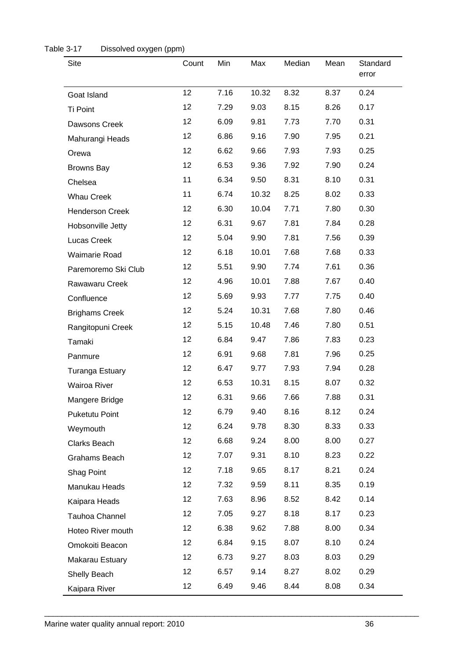| <b>Site</b>            | Count | Min  | Max   | Median | Mean | Standard<br>error |
|------------------------|-------|------|-------|--------|------|-------------------|
| Goat Island            | 12    | 7.16 | 10.32 | 8.32   | 8.37 | 0.24              |
| Ti Point               | 12    | 7.29 | 9.03  | 8.15   | 8.26 | 0.17              |
| Dawsons Creek          | 12    | 6.09 | 9.81  | 7.73   | 7.70 | 0.31              |
| Mahurangi Heads        | 12    | 6.86 | 9.16  | 7.90   | 7.95 | 0.21              |
| Orewa                  | 12    | 6.62 | 9.66  | 7.93   | 7.93 | 0.25              |
| <b>Browns Bay</b>      | 12    | 6.53 | 9.36  | 7.92   | 7.90 | 0.24              |
| Chelsea                | 11    | 6.34 | 9.50  | 8.31   | 8.10 | 0.31              |
| <b>Whau Creek</b>      | 11    | 6.74 | 10.32 | 8.25   | 8.02 | 0.33              |
| <b>Henderson Creek</b> | 12    | 6.30 | 10.04 | 7.71   | 7.80 | 0.30              |
| Hobsonville Jetty      | 12    | 6.31 | 9.67  | 7.81   | 7.84 | 0.28              |
| Lucas Creek            | 12    | 5.04 | 9.90  | 7.81   | 7.56 | 0.39              |
| Waimarie Road          | 12    | 6.18 | 10.01 | 7.68   | 7.68 | 0.33              |
| Paremoremo Ski Club    | 12    | 5.51 | 9.90  | 7.74   | 7.61 | 0.36              |
| Rawawaru Creek         | 12    | 4.96 | 10.01 | 7.88   | 7.67 | 0.40              |
| Confluence             | 12    | 5.69 | 9.93  | 7.77   | 7.75 | 0.40              |
| <b>Brighams Creek</b>  | 12    | 5.24 | 10.31 | 7.68   | 7.80 | 0.46              |
| Rangitopuni Creek      | 12    | 5.15 | 10.48 | 7.46   | 7.80 | 0.51              |
| Tamaki                 | 12    | 6.84 | 9.47  | 7.86   | 7.83 | 0.23              |
| Panmure                | 12    | 6.91 | 9.68  | 7.81   | 7.96 | 0.25              |
| <b>Turanga Estuary</b> | 12    | 6.47 | 9.77  | 7.93   | 7.94 | 0.28              |
| Wairoa River           | 12    | 6.53 | 10.31 | 8.15   | 8.07 | 0.32              |
| Mangere Bridge         | 12    | 6.31 | 9.66  | 7.66   | 7.88 | 0.31              |
| <b>Puketutu Point</b>  | 12    | 6.79 | 9.40  | 8.16   | 8.12 | 0.24              |
| Weymouth               | 12    | 6.24 | 9.78  | 8.30   | 8.33 | 0.33              |
| Clarks Beach           | 12    | 6.68 | 9.24  | 8.00   | 8.00 | 0.27              |
| Grahams Beach          | 12    | 7.07 | 9.31  | 8.10   | 8.23 | 0.22              |
| Shag Point             | 12    | 7.18 | 9.65  | 8.17   | 8.21 | 0.24              |
| Manukau Heads          | 12    | 7.32 | 9.59  | 8.11   | 8.35 | 0.19              |
| Kaipara Heads          | 12    | 7.63 | 8.96  | 8.52   | 8.42 | 0.14              |
| Tauhoa Channel         | 12    | 7.05 | 9.27  | 8.18   | 8.17 | 0.23              |
| Hoteo River mouth      | 12    | 6.38 | 9.62  | 7.88   | 8.00 | 0.34              |
| Omokoiti Beacon        | 12    | 6.84 | 9.15  | 8.07   | 8.10 | 0.24              |
| Makarau Estuary        | 12    | 6.73 | 9.27  | 8.03   | 8.03 | 0.29              |
| Shelly Beach           | 12    | 6.57 | 9.14  | 8.27   | 8.02 | 0.29              |
| Kaipara River          | 12    | 6.49 | 9.46  | 8.44   | 8.08 | 0.34              |

<span id="page-38-0"></span>

| Table 3-17 | Dissolved oxygen (ppm) |  |
|------------|------------------------|--|
|------------|------------------------|--|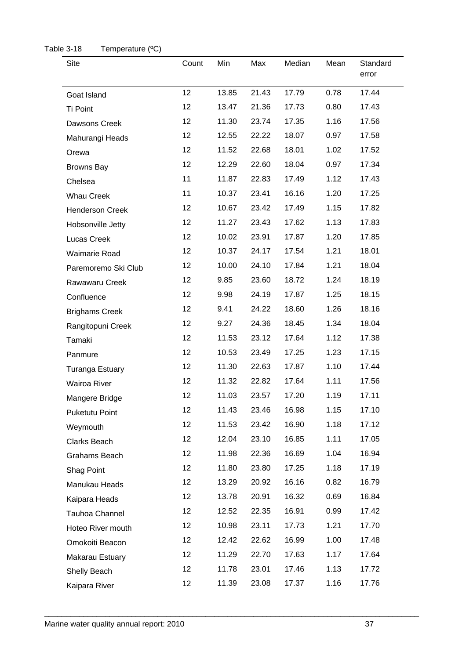| <b>Site</b>            | Count | Min   | Max   | Median | Mean | Standard<br>error |
|------------------------|-------|-------|-------|--------|------|-------------------|
| Goat Island            | 12    | 13.85 | 21.43 | 17.79  | 0.78 | 17.44             |
| Ti Point               | 12    | 13.47 | 21.36 | 17.73  | 0.80 | 17.43             |
| Dawsons Creek          | 12    | 11.30 | 23.74 | 17.35  | 1.16 | 17.56             |
| Mahurangi Heads        | 12    | 12.55 | 22.22 | 18.07  | 0.97 | 17.58             |
| Orewa                  | 12    | 11.52 | 22.68 | 18.01  | 1.02 | 17.52             |
| <b>Browns Bay</b>      | 12    | 12.29 | 22.60 | 18.04  | 0.97 | 17.34             |
| Chelsea                | 11    | 11.87 | 22.83 | 17.49  | 1.12 | 17.43             |
| <b>Whau Creek</b>      | 11    | 10.37 | 23.41 | 16.16  | 1.20 | 17.25             |
| <b>Henderson Creek</b> | 12    | 10.67 | 23.42 | 17.49  | 1.15 | 17.82             |
| Hobsonville Jetty      | 12    | 11.27 | 23.43 | 17.62  | 1.13 | 17.83             |
| Lucas Creek            | 12    | 10.02 | 23.91 | 17.87  | 1.20 | 17.85             |
| Waimarie Road          | 12    | 10.37 | 24.17 | 17.54  | 1.21 | 18.01             |
| Paremoremo Ski Club    | 12    | 10.00 | 24.10 | 17.84  | 1.21 | 18.04             |
| Rawawaru Creek         | 12    | 9.85  | 23.60 | 18.72  | 1.24 | 18.19             |
| Confluence             | 12    | 9.98  | 24.19 | 17.87  | 1.25 | 18.15             |
| <b>Brighams Creek</b>  | 12    | 9.41  | 24.22 | 18.60  | 1.26 | 18.16             |
| Rangitopuni Creek      | 12    | 9.27  | 24.36 | 18.45  | 1.34 | 18.04             |
| Tamaki                 | 12    | 11.53 | 23.12 | 17.64  | 1.12 | 17.38             |
| Panmure                | 12    | 10.53 | 23.49 | 17.25  | 1.23 | 17.15             |
| <b>Turanga Estuary</b> | 12    | 11.30 | 22.63 | 17.87  | 1.10 | 17.44             |
| Wairoa River           | 12    | 11.32 | 22.82 | 17.64  | 1.11 | 17.56             |
| Mangere Bridge         | 12    | 11.03 | 23.57 | 17.20  | 1.19 | 17.11             |
| Puketutu Point         | 12    | 11.43 | 23.46 | 16.98  | 1.15 | 17.10             |
| Weymouth               | 12    | 11.53 | 23.42 | 16.90  | 1.18 | 17.12             |
| Clarks Beach           | 12    | 12.04 | 23.10 | 16.85  | 1.11 | 17.05             |
| Grahams Beach          | 12    | 11.98 | 22.36 | 16.69  | 1.04 | 16.94             |
| Shag Point             | 12    | 11.80 | 23.80 | 17.25  | 1.18 | 17.19             |
| Manukau Heads          | 12    | 13.29 | 20.92 | 16.16  | 0.82 | 16.79             |
| Kaipara Heads          | 12    | 13.78 | 20.91 | 16.32  | 0.69 | 16.84             |
| Tauhoa Channel         | 12    | 12.52 | 22.35 | 16.91  | 0.99 | 17.42             |
| Hoteo River mouth      | 12    | 10.98 | 23.11 | 17.73  | 1.21 | 17.70             |
| Omokoiti Beacon        | 12    | 12.42 | 22.62 | 16.99  | 1.00 | 17.48             |
| Makarau Estuary        | 12    | 11.29 | 22.70 | 17.63  | 1.17 | 17.64             |
| Shelly Beach           | 12    | 11.78 | 23.01 | 17.46  | 1.13 | 17.72             |
| Kaipara River          | 12    | 11.39 | 23.08 | 17.37  | 1.16 | 17.76             |

#### <span id="page-39-0"></span>Table 3-18 Temperature (°C)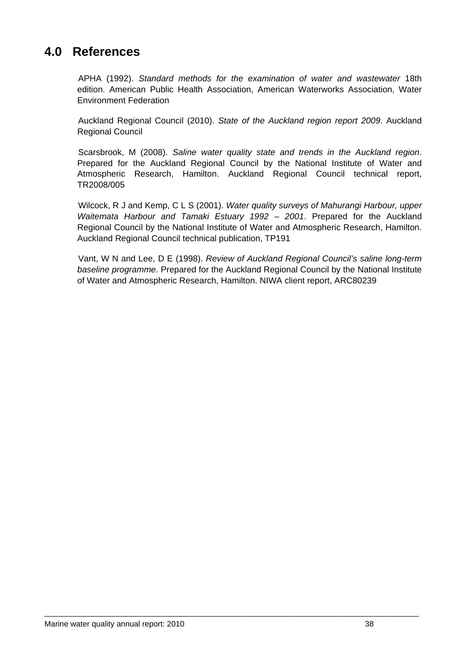## <span id="page-40-0"></span>**4.0 References**

APHA (1992). *Standard methods for the examination of water and wastewater* 18th edition. American Public Health Association, American Waterworks Association, Water Environment Federation

Auckland Regional Council (2010). State of the Auckland region report 2009. Auckland Regional Council

Scarsbrook, M (2008). Saline water quality state and trends in the Auckland region. Prepared for the Auckland Regional Council by the National Institute of Water and Atmospheric Research, Hamilton. Auckland Regional Council technical report, 8/005 TR200

Wilcock, R J and Kemp, C L S (2001). Water quality surveys of Mahurangi Harbour, upper *Waitemata Harbour and Tamaki Estuary 1992 – 2001*. Prepared for the Auckland Regional Council by the National Institute of Water and Atmospheric Research, Hamilton. Auckland Regional Council technical publication, TP191

Vant, W N and Lee, D E (1998). *Review of Auckland Regional Council's saline long-term* baseline programme. Prepared for the Auckland Regional Council by the National Institute of Water and Atmospheric Research, Hamilton. NIWA client report, ARC80239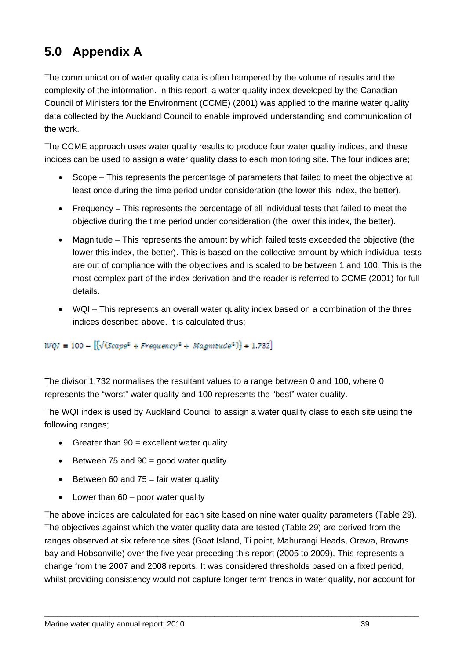## <span id="page-41-0"></span>**5.0 Appendix A**

The com munication of water quality data is often hampered by the volume of results and the complex ity of the information. In this report, a water quality index developed by the Canadian Council of Ministers for the Environment (CCME) (2001) was applied to the marine water quality data coll ected by the Auckland Council to enable improved understanding and communication of the work .

The CCM E approach uses water quality results to produce four water quality indices, and these indices c an be used to assign a water quality class to each monitoring site. The four indices are;

- $\bullet$ least once during the time period under consideration (the lower this index, the better). Scope – This represents the percentage of parameters that failed to meet the objective at
- F requency This represents the percentage of all individual tests that failed to meet the o bjective during the time period under consideration (the lower this index, the better).
- Magnitude This represents the amount by which failed tests exceeded the objective (the lower this in dex, the better). This is based on the collective amount by which individual tests a re out of compliance with the objectives and is scaled to be between 1 and 100. This is the most complex part of the index derivation and the reader is referred to CCME (2001) for full details.
- WQI This represents an overall water quality index based on a combination of the three indices described above. It is calculated thus;

#### $WQI = 100 - [\sqrt{(Scape^2 + Frequency^2 + Magneticude^2)} + 1.732]$

The divisor 1.732 normalises the resultant values to a range between 0 and 100, where 0 represents the "worst" water quality and 100 represents the "best" water quality.

The WQI index is used by Auckland Council to assign a water quality class to each site using the following ranges;

- Greater than  $90 =$  excellent water quality
- Between 75 and  $90 =$  good water quality
- Between 60 and  $75 =$  fair water quality
- Lower than 60 poor water quality

The above indices are calculated for each site based on nine water quality parameters (Table 29). The objectives against which the water quality data are tested (Table 29) are derived from the ranges observed at six reference sites (Goat Island, Ti point, Mahurangi Heads, Orewa, Browns bay and Hobsonville) over the five year preceding this report (2005 to 2009). This represents a change from the 2007 and 2008 reports. It was considered thresholds based on a fixed period, whilst providing consistency would not capture longer term trends in water quality, nor account for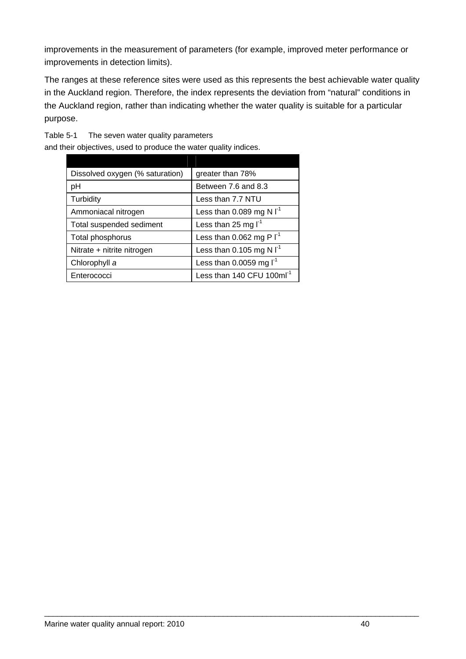improvements in the measurement of parameters (for example, improved meter performance or improvements in detection limits).

The ranges at these reference sites were used as this represents the best achievable water quality in in the Auckland region. Therefore, the index represents the deviation from "natural" conditions the Auckland region, rather than indicating whether the water quality is suitable for a particular purpose.

\_\_\_\_\_\_\_\_\_\_\_\_\_\_\_\_\_\_\_\_\_\_\_\_\_\_\_\_\_\_\_\_\_\_\_\_\_\_\_\_\_\_\_\_\_\_\_\_\_\_\_\_\_\_\_\_\_\_\_\_\_\_\_\_\_\_\_\_\_\_\_\_\_\_\_\_\_\_\_\_\_\_\_\_\_\_

<span id="page-42-0"></span>The seven water quality parameters Table 5-1

and their objectives, used to produce the water quality indices.

| Dissolved oxygen (% saturation) | greater than 78%                      |
|---------------------------------|---------------------------------------|
| pH                              | Between 7.6 and 8.3                   |
| Turbidity                       | Less than 7.7 NTU                     |
| Ammoniacal nitrogen             | Less than 0.089 mg N $I^1$            |
| Total suspended sediment        | Less than 25 mg $I-1$                 |
| Total phosphorus                | Less than 0.062 mg P $I^1$            |
| Nitrate + nitrite nitrogen      | Less than 0.105 mg N $I^1$            |
| Chlorophyll a                   | Less than 0.0059 mg $I^1$             |
| Enterococci                     | Less than 140 CFU 100ml <sup>-1</sup> |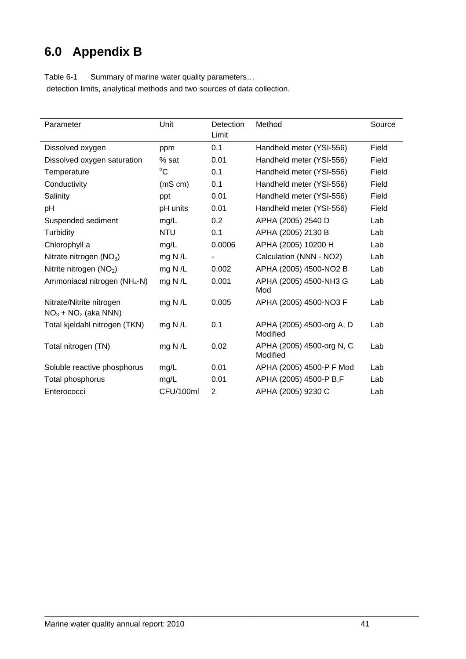## <span id="page-43-0"></span>**6.0 Appendix B**

| Parameter                   | Unit         | Detection<br>Limit | Method                   |
|-----------------------------|--------------|--------------------|--------------------------|
| Dissolved oxygen            | ppm          | 0.1                | Handheld meter (YSI-556) |
| Dissolved oxygen saturation | % sat        | 0.01               | Handheld meter (YSI-556) |
| Temperature                 | $^{\circ}$ C | 0.1                | Handheld meter (YSI-556) |
| Conductivity                | $(mS \, cm)$ | 0.1                | Handheld meter (YSI-556) |
| Salinity                    | ppt          | 0.01               | Handheld meter (YSI-556) |
| pH                          | pH units     | 0.01               | Handheld meter (YSI-556) |
| Suspended sediment          | mg/L         | $0.2^{\circ}$      | APHA (2005) 2540 D       |
| Turbidity                   | NTU          | 0.1                | APHA (2005) 2130 B       |

<span id="page-43-1"></span>Table 6-1 Summary of marine water quality parameters... detection limits, analytical methods and two sources of data collection.

| Dissolved oxygen                                  | ppm         | 0.1    | Handheld meter (YSI-556)              | Field |
|---------------------------------------------------|-------------|--------|---------------------------------------|-------|
| Dissolved oxygen saturation                       | % sat       | 0.01   | Handheld meter (YSI-556)              | Field |
| Temperature                                       | $^{\circ}C$ | 0.1    | Handheld meter (YSI-556)              | Field |
| Conductivity                                      | (mS cm)     | 0.1    | Handheld meter (YSI-556)              | Field |
| Salinity                                          | ppt         | 0.01   | Handheld meter (YSI-556)              | Field |
| рH                                                | pH units    | 0.01   | Handheld meter (YSI-556)              | Field |
| Suspended sediment                                | mg/L        | 0.2    | APHA (2005) 2540 D                    | Lab   |
| Turbidity                                         | NTU         | 0.1    | APHA (2005) 2130 B                    | Lab   |
| Chlorophyll a                                     | mg/L        | 0.0006 | APHA (2005) 10200 H                   | Lab   |
| Nitrate nitrogen $(NO3)$                          | mg N $/L$   |        | Calculation (NNN - NO2)               | Lab   |
| Nitrite nitrogen $(NO2)$                          | mg N/L      | 0.002  | APHA (2005) 4500-NO2 B                | Lab   |
| Ammoniacal nitrogen (NH <sub>4</sub> -N)          | mg N/L      | 0.001  | APHA (2005) 4500-NH3 G<br>Mod         | Lab   |
| Nitrate/Nitrite nitrogen<br>$NO3 + NO2$ (aka NNN) | mg N $/L$   | 0.005  | APHA (2005) 4500-NO3 F                | Lab   |
| Total kjeldahl nitrogen (TKN)                     | mg N $/L$   | 0.1    | APHA (2005) 4500-org A, D<br>Modified | Lab   |
| Total nitrogen (TN)                               | mg N $/L$   | 0.02   | APHA (2005) 4500-org N, C<br>Modified | Lab   |

Soluble reactive phosphorus mg/L 0.01 APHA (2005) 4500-P F Mod Lab Total phosphorus mg/L 0.01 APHA (2005) 4500-P B,F Lab Enterococci CFU/100ml 2 APHA (2005) 9230 C Lab

\_\_\_\_\_\_\_\_\_\_\_\_\_\_\_\_\_\_\_\_\_\_\_\_\_\_\_\_\_\_\_\_\_\_\_\_\_\_\_\_\_\_\_\_\_\_\_\_\_\_\_\_\_\_\_\_\_\_\_\_\_\_\_\_\_\_\_\_\_\_\_\_\_\_\_\_\_\_\_\_\_\_\_\_\_\_

Source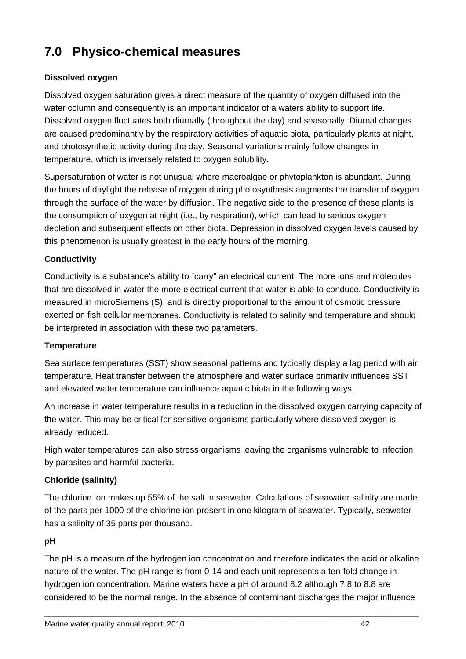## <span id="page-44-0"></span>**7.0 Physico-chemical measures**

#### **Dissolved oxygen**

water column and consequently is an important indicator of a waters ability to support life. Dissolved oxygen fluctuates both diurnally (throughout the day) and seasonally. Diurnal changes are caused predominantly by the respiratory activities of aquatic biota, particularly plants at night, and photosynthetic activity during the day. Seasonal variations mainly follow changes in temperature, which is inversely related to oxygen solubility. Dissolved oxygen saturation gives a direct measure of the quantity of oxygen diffused into the

Supersaturation of water is not unusual where macroalgae or phytoplankton is abundant. During the hours of daylight the release of oxygen during photosynthesis augments the transfer of oxygen through the surface of the water by diffusion. The negative side to the presence of these plants is the consumption of oxygen at night (i.e., by respiration), which can lead to serious oxygen depletion and subsequent effects on other biota. Depression in dissolved oxygen levels caused by this phenomenon is usually greatest in the early hours of the morning.

#### **Conductivity**

Conductivity is a substance's ability to "carry" an electrical current. The more ions and molecules that are dissolved in water the more electrical current that water is able to conduce. Conductivity is measured in microSiemens (S), and is directly proportional to the amount of osmotic pressure exerted on fish cellular membranes. Conductivity is related to salinity and temperature and should be interpreted in association with these two parameters.

#### **Temperature**

Sea surface temperatures (SST) show seasonal patterns and typically display a lag period with air temperature. Heat transfer between the atmosphere and water surface primarily influences SST and elevated water temperature can influence aquatic biota in the following ways:

An increase in water temperature results in a reduction in the dissolved oxygen carrying capacity of the water. This may be critical for sensitive organisms particularly where dissolved oxygen is already reduced.

High water temperatures can also stress organisms leaving the organisms vulnerable to infection by parasites and harmful bacteria.

#### **) Chloride (salinity**

The chlorine ion makes up 55% of the salt in seawater. Calculations of seawater salinity are made of the parts per 1000 of the chlorine ion present in one kilogram of seawater. Typically, seawater has a salinity of 35 parts per thousand.

#### **pH**

The pH is a measure of the hydrogen ion concentration and therefore indicates the acid or alkaline nature of the water. The pH range is from 0-14 and each unit represents a ten-fold change in hydrogen ion concentration. Marine waters have a pH of around 8.2 although 7.8 to 8.8 are considered to be the normal range. In the absence of contaminant discharges the major influence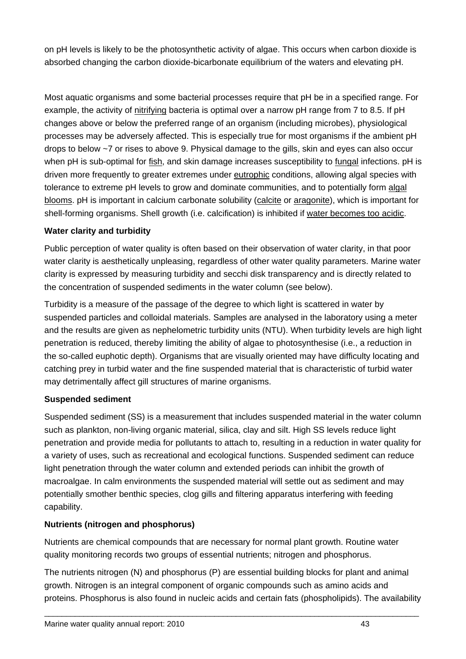on pH levels is likely to be the photosynthetic activity of algae. This occurs when carbon dioxide is absorbed changing the carbon dioxide-bicarbonate equilibriu m of the waters and elevating pH.

Most aquatic organisms and some bacterial processes require that pH be in a specified range. For example, the activity of nitrifying bacteria is optimal over a narrow pH range from 7 to 8.5. If pH changes above or below the preferred range of an organism (including microbes), physiological processes may be adversely affected. This is especially true for most organisms if the ambient pH drops to below ~7 or rises to above 9. Physical damage to the gills, skin and eyes can als o occur when pH is sub-optimal for fish, and skin damage increases susceptibility to fungal infections. pH is driven more frequently to greater extremes under eutrophic conditions, allowing algal species with tolerance to extreme pH levels to grow and dominate communities, and to potentially form algal blooms. pH is important in calcium carbonate solubility (calcite or aragonite), which is important for shell-forming organisms. Shell growth (i.e. calcification) is inhibited if water becomes too acidic.

#### **Water clarity and turbidity**

water clarity is aesthetically unpleasing, regardless of other water quality parameters. Marine water Public perception of water quality is often based on their observation of water clarity, in that poor clarity is expressed by measuring turbidity and secchi disk transparency and is directly related to the concentration of suspended sediments in the water column (see below).

and the results are given as nephelometric turbidity units (NTU). When turbidity levels are high light penetration is reduced, thereby limiting the ability of algae to photosynthesise (i.e., a reduction in Turbidity is a measure of the passage of the degree to which light is scattered in water by suspended particles and colloidal materials. Samples are analysed in the laboratory using a meter the so-called euphotic depth). Organisms that are visually oriented may have difficulty locating and catching prey in turbid water and the fine suspended material that is characteristic of turbid water may detrimentally affect gill structures of marine organisms.

#### **Suspended sediment**

Suspended sediment (SS) is a measurement that includes suspended material in the water column such as plankton, non-living organic material, silica, clay and silt. High SS levels reduce light light penetration through the water column and extended periods can inhibit the growth of macroalgae. In calm environments the suspended material will settle out as sediment and may penetration and provide media for pollutants to attach to, resulting in a reduction in water quality for a variety of uses, such as recreational and ecological functions. Suspended sediment can reduce potentially smother benthic species, clog gills and filtering apparatus interfering with feeding capability.

#### **Nutrients (nitrogen and phosphorus)**

Nutrients are chemical compounds that are necessary for normal plant growth. Routine water quality monitoring records two groups of essential nutrients; nitrogen and phosphorus.

The nutrients nitrogen (N) and phosphorus (P) are essential building blocks for plant and animal growth. Nitrogen is an integral component of organic compounds such as amino acids and proteins. Phosphorus is also found in nucleic acids and certain fats (phospholipids). The availability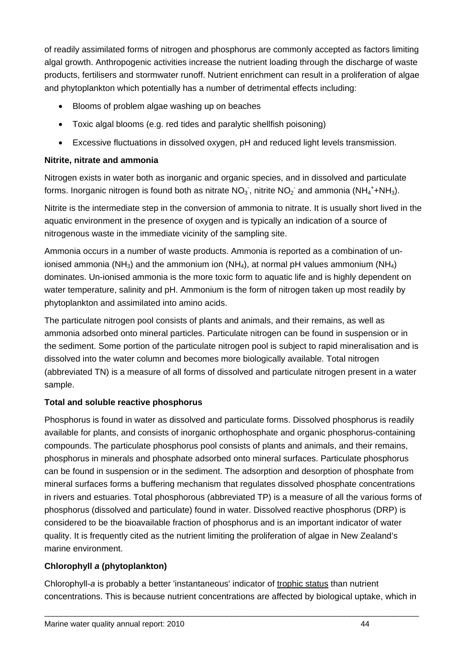of readily assimilated forms of nitrogen and phosphorus are commonly accepted as factors limiting algal growth. Anthropogenic activities increase the nutrient loading through the discharge of waste roducts, fertilisers and stormwater runoff. Nutrient enrichment can result in a proliferation of algae p and phytoplankton which potentially has a number of detrimental effects including:

- Blooms of problem algae washing up on beaches
- Toxic algal blooms (e.g. red tides and paralytic shellfish poisoning)
- Excessive fluctuations in dissolved oxygen, pH and reduced light levels transmission.

#### **Nitrite, nitrate and ammonia**

Nitrogen exists in water both as inorganic and organic species, and in dissolved and particulate forms. Inorganic nitrogen is found both as nitrate NO<sub>3</sub>, nitrite NO<sub>2</sub> and ammonia (NH<sub>4</sub><sup>+</sup>+NH<sub>3</sub>).

aquatic environment in the presence of oxygen and is typically an indication of a source of nitrogenous waste in the immediate vicinity of the sampling site. Nitrite is the intermediate step in the conversion of ammonia to nitrate. It is usually short lived in the

water temperature, salinity and pH. Ammonium is the form of nitrogen taken up most readily by Ammonia occurs in a number of waste products. Ammonia is reported as a combination of unionised ammonia (NH<sub>3</sub>) and the ammonium ion (NH<sub>4</sub>), at normal pH values ammonium (NH<sub>4</sub>) dominates. Un-ionised ammonia is the more toxic form to aquatic life and is highly dependent on phytoplankton and assimilated into amino acids.

The particulate nitrogen pool consists of plants and animals, and their remains, as well as ammonia adsorbed onto mineral particles. Particulate nitrogen can be found in suspension or in the sediment. Some portion of the particulate nitrogen pool is subject to rapid mineralisation and is dissolved into the water column and becomes more biologically available. Total nitrogen (abbreviated TN) is a measure of all forms of dissolved and particulate nitrogen present in a water sample.

#### **Total and soluble reactive phosphorus**

available for plants, and consists of inorganic orthophosphate and organic phosphorus-containing can be found in suspension or in the sediment. The adsorption and desorption of phosphate from mineral surfaces forms a buffering mechanism that regulates dissolved phosphate concentrations in rivers and estuaries. Total phosphorous (abbreviated TP) is a measure of all the various forms of phosphorus (dissolved and particulate) found in water. Dissolved reactive phosphorus (DRP) is considered to be the bioavailable fraction of phosphorus and is an important indicator of water Phosphorus is found in water as dissolved and particulate forms. Dissolved phosphorus is readily compounds. The particulate phosphorus pool consists of plants and animals, and their remains, phosphorus in minerals and phosphate adsorbed onto mineral surfaces. Particulate phosphorus quality. It is frequently cited as the nutrient limiting the proliferation of algae in New Zealand's marine environment.

#### **Chlorophyll** *a* **(phytoplankton)**

Chlorophyll-*a* is probably a better 'instantaneous' indicator of trophic status than nutrient concentrations. This is because nutrient concentrations are affected by biological uptake, which in